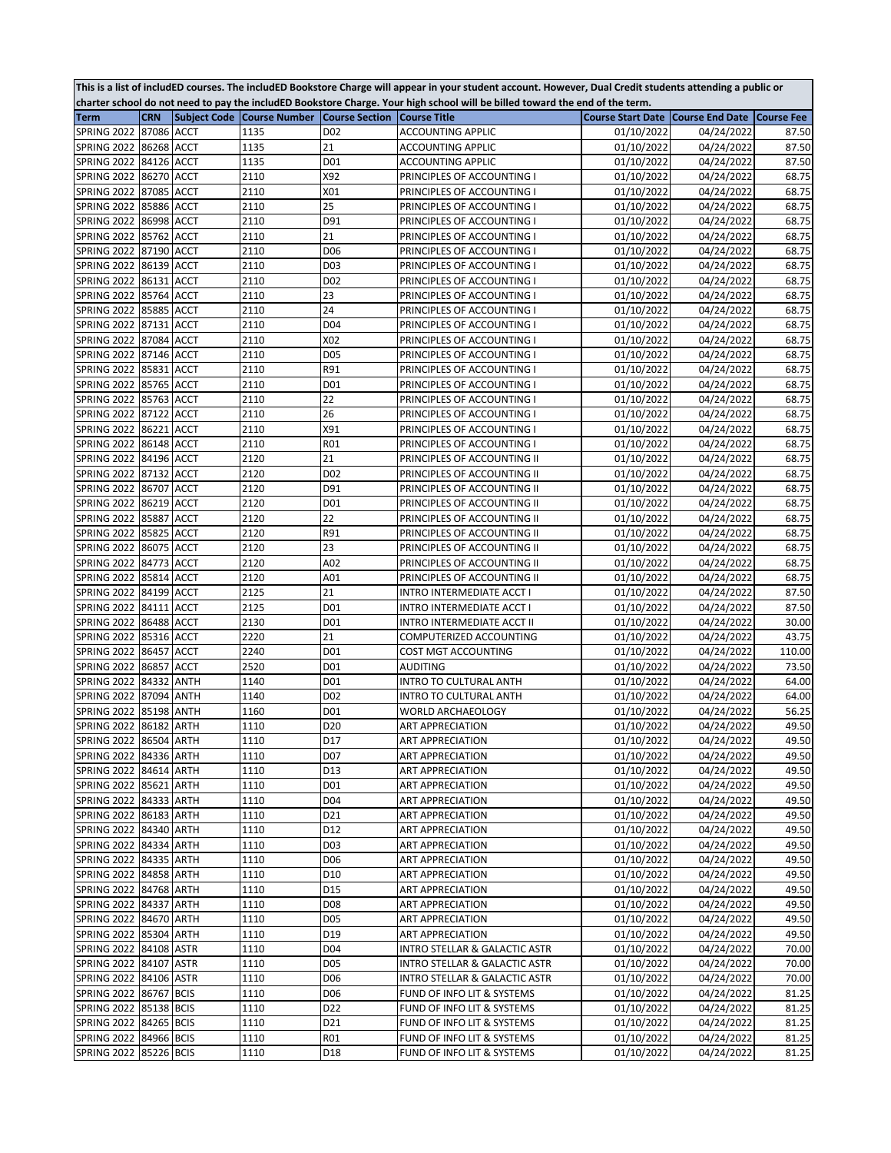| This is a list of includED courses. The includED Bookstore Charge will appear in your student account. However, Dual Credit students attending a public or |
|------------------------------------------------------------------------------------------------------------------------------------------------------------|
| charter school do not need to pay the includED Bookstore Charge. Your high school will be billed toward the end of the term.                               |

| <b>Term</b>                |            | <b>CRN</b> Subject Code Course Number Course Section Course Title |                  |                                          | Course Start Date   Course End Date   Course Fee |                          |        |
|----------------------------|------------|-------------------------------------------------------------------|------------------|------------------------------------------|--------------------------------------------------|--------------------------|--------|
| SPRING 2022                | 87086 ACCT | 1135                                                              | D <sub>0</sub> 2 | <b>ACCOUNTING APPLIC</b>                 | 01/10/2022                                       | 04/24/2022               | 87.50  |
| <b>SPRING 2022</b>         | 86268 ACCT | 1135                                                              | 21               | <b>ACCOUNTING APPLIC</b>                 | 01/10/2022                                       | 04/24/2022               | 87.50  |
| <b>SPRING 2022</b>         | 84126 ACCT | 1135                                                              | D01              | <b>ACCOUNTING APPLIC</b>                 | 01/10/2022                                       | 04/24/2022               | 87.50  |
| <b>SPRING 2022</b>         | 86270 ACCT | 2110                                                              | X92              | PRINCIPLES OF ACCOUNTING I               | 01/10/2022                                       | 04/24/2022               | 68.75  |
| <b>SPRING 2022</b>         | 87085 ACCT | 2110                                                              | X01              | PRINCIPLES OF ACCOUNTING I               | 01/10/2022                                       | 04/24/2022               | 68.75  |
| <b>SPRING 2022</b>         | 85886 ACCT | 2110                                                              | 25               | PRINCIPLES OF ACCOUNTING I               | 01/10/2022                                       | 04/24/2022               | 68.75  |
| <b>SPRING 2022</b>         | 86998 ACCT | 2110                                                              | D91              | PRINCIPLES OF ACCOUNTING I               | 01/10/2022                                       | 04/24/2022               | 68.75  |
| <b>SPRING 2022</b>         | 85762 ACCT | 2110                                                              | 21               | PRINCIPLES OF ACCOUNTING I               | 01/10/2022                                       | 04/24/2022               | 68.75  |
| <b>SPRING 2022</b>         | 87190 ACCT | 2110                                                              | D <sub>06</sub>  | PRINCIPLES OF ACCOUNTING I               | 01/10/2022                                       | $\overline{0}$ 4/24/2022 | 68.75  |
| <b>SPRING 2022</b>         | 86139 ACCT | 2110                                                              | D03              | PRINCIPLES OF ACCOUNTING I               | 01/10/2022                                       | 04/24/2022               | 68.75  |
| SPRING 2022                | 86131 ACCT | 2110                                                              | D <sub>02</sub>  | PRINCIPLES OF ACCOUNTING I               | 01/10/2022                                       | 04/24/2022               | 68.75  |
| <b>SPRING 2022</b>         | 85764 ACCT | 2110                                                              | 23               | PRINCIPLES OF ACCOUNTING I               | 01/10/2022                                       | 04/24/2022               | 68.75  |
| SPRING 2022                | 85885 ACCT | 2110                                                              | 24               | PRINCIPLES OF ACCOUNTING I               | 01/10/2022                                       | 04/24/2022               | 68.75  |
| <b>SPRING 2022</b>         | 87131 ACCT | 2110                                                              | D04              | PRINCIPLES OF ACCOUNTING I               | 01/10/2022                                       | 04/24/2022               | 68.75  |
| <b>SPRING 2022</b>         | 87084 ACCT | 2110                                                              | X02              | PRINCIPLES OF ACCOUNTING I               | 01/10/2022                                       | 04/24/2022               | 68.75  |
| <b>SPRING 2022</b>         | 87146 ACCT | 2110                                                              | D05              | PRINCIPLES OF ACCOUNTING I               | 01/10/2022                                       | 04/24/2022               | 68.75  |
| <b>SPRING 2022</b>         | 85831 ACCT | 2110                                                              | R91              | PRINCIPLES OF ACCOUNTING I               | 01/10/2022                                       | 04/24/2022               | 68.75  |
| <b>SPRING 2022</b>         | 85765 ACCT | 2110                                                              | D01              | PRINCIPLES OF ACCOUNTING I               | 01/10/2022                                       | 04/24/2022               | 68.75  |
| <b>SPRING 2022</b>         | 85763 ACCT | 2110                                                              | 22               | PRINCIPLES OF ACCOUNTING I               | 01/10/2022                                       | 04/24/2022               | 68.75  |
| SPRING 2022                | 87122 ACCT | 2110                                                              | 26               | PRINCIPLES OF ACCOUNTING I               | 01/10/2022                                       | 04/24/2022               | 68.75  |
| SPRING 2022                | 86221 ACCT | 2110                                                              | X91              | PRINCIPLES OF ACCOUNTING I               | 01/10/2022                                       | 04/24/2022               | 68.75  |
| <b>SPRING 2022</b>         | 86148 ACCT | 2110                                                              | <b>R01</b>       | PRINCIPLES OF ACCOUNTING I               | 01/10/2022                                       | 04/24/2022               | 68.75  |
| <b>SPRING 2022</b>         | 84196 ACCT | 2120                                                              | 21               | PRINCIPLES OF ACCOUNTING II              | 01/10/2022                                       | 04/24/2022               | 68.75  |
| <b>SPRING 2022</b>         | 87132 ACCT | 2120                                                              | D <sub>02</sub>  | PRINCIPLES OF ACCOUNTING II              | 01/10/2022                                       | 04/24/2022               | 68.75  |
| <b>SPRING 2022</b>         | 86707 ACCT | 2120                                                              | D91              | PRINCIPLES OF ACCOUNTING II              | 01/10/2022                                       | 04/24/2022               | 68.75  |
| <b>SPRING 2022</b>         | 86219 ACCT | 2120                                                              | D01              | PRINCIPLES OF ACCOUNTING II              | 01/10/2022                                       | 04/24/2022               | 68.75  |
| <b>SPRING 2022</b>         | 85887 ACCT | 2120                                                              | 22               | PRINCIPLES OF ACCOUNTING II              | 01/10/2022                                       | 04/24/2022               | 68.75  |
| <b>SPRING 2022</b>         | 85825 ACCT | 2120                                                              | R91              | PRINCIPLES OF ACCOUNTING II              | 01/10/2022                                       | 04/24/2022               | 68.75  |
| <b>SPRING 2022</b>         | 86075 ACCT | 2120                                                              | 23               | PRINCIPLES OF ACCOUNTING II              | 01/10/2022                                       | 04/24/2022               | 68.75  |
| <b>SPRING 2022</b>         | 84773 ACCT | 2120                                                              | A02              | PRINCIPLES OF ACCOUNTING II              | 01/10/2022                                       | 04/24/2022               | 68.75  |
| <b>SPRING 2022</b>         | 85814 ACCT | 2120                                                              | A01              | PRINCIPLES OF ACCOUNTING II              | 01/10/2022                                       | 04/24/2022               | 68.75  |
| <b>SPRING 2022</b>         | 84199 ACCT | 2125                                                              | 21               | INTRO INTERMEDIATE ACCT I                | 01/10/2022                                       | 04/24/2022               | 87.50  |
| SPRING 2022                | 84111 ACCT | 2125                                                              | D01              | INTRO INTERMEDIATE ACCT I                | 01/10/2022                                       | 04/24/2022               | 87.50  |
| <b>SPRING 2022</b>         | 86488 ACCT | 2130                                                              | D01              | INTRO INTERMEDIATE ACCT II               | 01/10/2022                                       | 04/24/2022               | 30.00  |
| <b>SPRING 2022</b>         | 85316 ACCT | 2220                                                              | 21               | COMPUTERIZED ACCOUNTING                  | 01/10/2022                                       | 04/24/2022               | 43.75  |
| <b>SPRING 2022</b>         | 86457 ACCT | 2240                                                              | D01              | COST MGT ACCOUNTING                      | 01/10/2022                                       | 04/24/2022               | 110.00 |
| <b>SPRING 2022</b>         | 86857 ACCT | 2520                                                              | D01              | AUDITING                                 | 01/10/2022                                       | 04/24/2022               | 73.50  |
| <b>SPRING 2022</b>         | 84332 ANTH | 1140                                                              | D01              | INTRO TO CULTURAL ANTH                   | 01/10/2022                                       | 04/24/2022               | 64.00  |
| <b>SPRING 2022</b>         | 87094 ANTH | 1140                                                              | D <sub>02</sub>  | INTRO TO CULTURAL ANTH                   | 01/10/2022                                       | 04/24/2022               | 64.00  |
| <b>SPRING 2022</b>         | 85198 ANTH | 1160                                                              | D01              | WORLD ARCHAEOLOGY                        | 01/10/2022                                       | 04/24/2022               | 56.25  |
| <b>SPRING 2022</b>         | 86182 ARTH | 1110                                                              | D <sub>20</sub>  | ART APPRECIATION                         | 01/10/2022                                       | 04/24/2022               | 49.50  |
| SPRING 2022 86504 ARTH     |            | 1110                                                              | D17              | <b>ART APPRECIATION</b>                  | 01/10/2022                                       | 04/24/2022               | 49.50  |
| SPRING 2022 84336 ARTH     |            | 1110                                                              | D07              | <b>ART APPRECIATION</b>                  | 01/10/2022                                       | 04/24/2022               | 49.50  |
| SPRING 2022 84614 ARTH     |            | 1110                                                              | D13              | <b>ART APPRECIATION</b>                  | 01/10/2022                                       | 04/24/2022               | 49.50  |
| SPRING 2022 85621 ARTH     |            | 1110                                                              | D01              | ART APPRECIATION                         | 01/10/2022                                       | 04/24/2022               | 49.50  |
| <b>SPRING 2022</b>         | 84333 ARTH | 1110                                                              | D04              | <b>ART APPRECIATION</b>                  | 01/10/2022                                       | 04/24/2022               | 49.50  |
| SPRING 2022 86183 ARTH     |            | 1110                                                              | D21              | <b>ART APPRECIATION</b>                  | 01/10/2022                                       | 04/24/2022               | 49.50  |
| <b>SPRING 2022</b>         | 84340 ARTH | 1110                                                              | D12              | <b>ART APPRECIATION</b>                  | 01/10/2022                                       | 04/24/2022               | 49.50  |
| <b>SPRING 2022</b>         | 84334 ARTH | 1110                                                              | D03              | <b>ART APPRECIATION</b>                  | 01/10/2022                                       | 04/24/2022               | 49.50  |
| SPRING 2022 84335 ARTH     |            | 1110                                                              | D <sub>06</sub>  | <b>ART APPRECIATION</b>                  | 01/10/2022                                       | 04/24/2022               | 49.50  |
| <b>SPRING 2022</b>         | 84858 ARTH | 1110                                                              | D10              | <b>ART APPRECIATION</b>                  | 01/10/2022                                       | 04/24/2022               | 49.50  |
| <b>SPRING 2022</b>         | 84768 ARTH | 1110                                                              | D15              | <b>ART APPRECIATION</b>                  | 01/10/2022                                       | 04/24/2022               | 49.50  |
| <b>SPRING 2022</b>         | 84337 ARTH | 1110                                                              | D <sub>08</sub>  | <b>ART APPRECIATION</b>                  | 01/10/2022                                       | 04/24/2022               | 49.50  |
| <b>SPRING 2022</b>         | 84670 ARTH | 1110                                                              | D05              | <b>ART APPRECIATION</b>                  | 01/10/2022                                       | 04/24/2022               | 49.50  |
| <b>SPRING 2022</b>         | 85304 ARTH | 1110                                                              | D19              | <b>ART APPRECIATION</b>                  | 01/10/2022                                       | 04/24/2022               | 49.50  |
| <b>SPRING 2022</b>         | 84108 ASTR | 1110                                                              | D04              | <b>INTRO STELLAR &amp; GALACTIC ASTR</b> | 01/10/2022                                       | 04/24/2022               | 70.00  |
| SPRING 2022 84107 ASTR     |            | 1110                                                              | D05              | INTRO STELLAR & GALACTIC ASTR            | 01/10/2022                                       | 04/24/2022               | 70.00  |
| <b>SPRING 2022</b>         | 84106 ASTR | 1110                                                              | D06              | INTRO STELLAR & GALACTIC ASTR            | 01/10/2022                                       | 04/24/2022               | 70.00  |
| <b>SPRING 2022</b>         | 86767 BCIS | 1110                                                              | D06              | FUND OF INFO LIT & SYSTEMS               | 01/10/2022                                       | 04/24/2022               | 81.25  |
| SPRING 2022   85138   BCIS |            | 1110                                                              | D22              | FUND OF INFO LIT & SYSTEMS               | 01/10/2022                                       | 04/24/2022               | 81.25  |
| <b>SPRING 2022</b>         | 84265 BCIS | 1110                                                              | D21              | FUND OF INFO LIT & SYSTEMS               | 01/10/2022                                       | 04/24/2022               | 81.25  |
| SPRING 2022                | 84966 BCIS | 1110                                                              | R01              | FUND OF INFO LIT & SYSTEMS               | 01/10/2022                                       | 04/24/2022               | 81.25  |
| SPRING 2022                | 85226 BCIS | 1110                                                              | D18              | FUND OF INFO LIT & SYSTEMS               | 01/10/2022                                       | 04/24/2022               | 81.25  |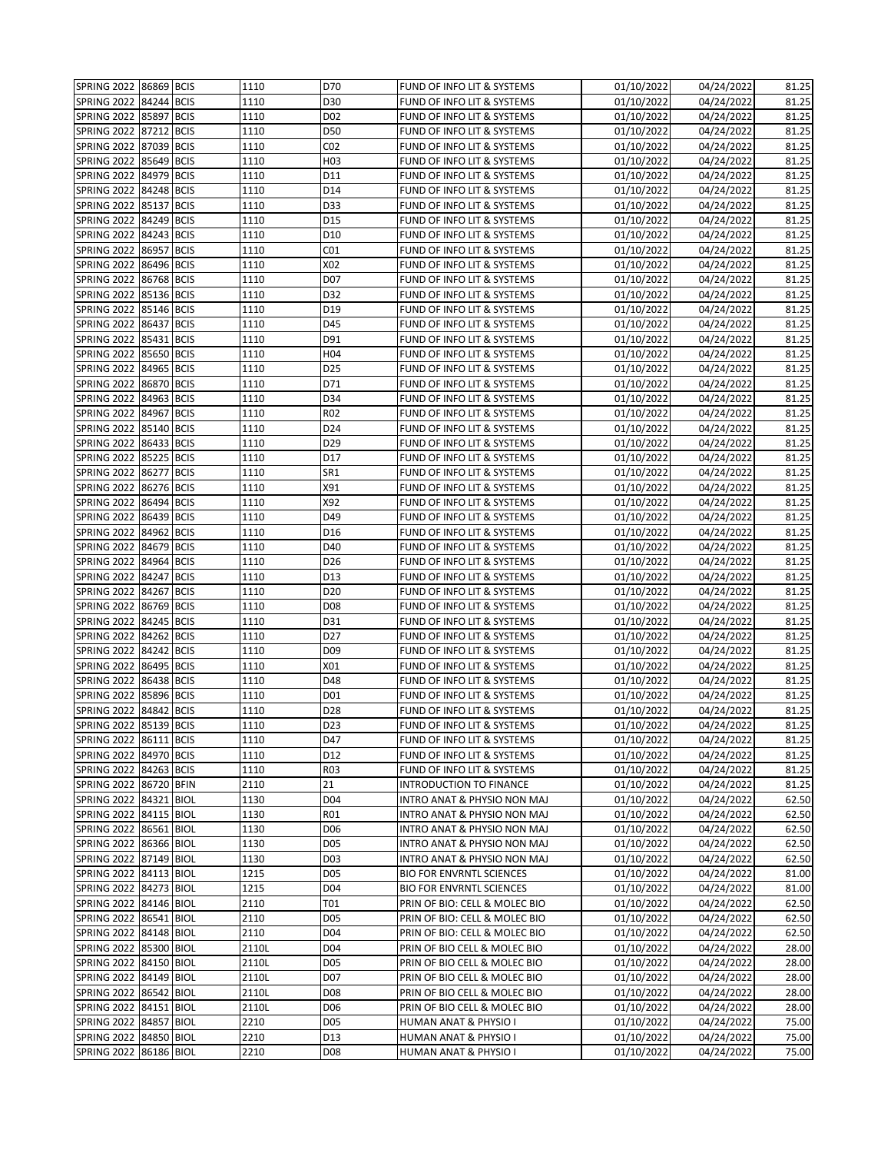| SPRING 2022 86869 BCIS     |            |             | 1110  | D70              | FUND OF INFO LIT & SYSTEMS      | 01/10/2022              | 04/24/2022 | 81.25 |
|----------------------------|------------|-------------|-------|------------------|---------------------------------|-------------------------|------------|-------|
| <b>SPRING 2022</b>         | 84244 BCIS |             | 1110  | D30              | FUND OF INFO LIT & SYSTEMS      | 01/10/2022              | 04/24/2022 | 81.25 |
| SPRING 2022                | 85897      | <b>BCIS</b> | 1110  | D <sub>02</sub>  | FUND OF INFO LIT & SYSTEMS      | $\overline{01/10/2022}$ | 04/24/2022 | 81.25 |
| <b>SPRING 2022</b>         | 87212 BCIS |             | 1110  | D50              | FUND OF INFO LIT & SYSTEMS      | 01/10/2022              | 04/24/2022 | 81.25 |
| <b>SPRING 2022</b>         | 87039      | <b>BCIS</b> | 1110  | CO <sub>2</sub>  | FUND OF INFO LIT & SYSTEMS      | 01/10/2022              | 04/24/2022 | 81.25 |
| <b>SPRING 2022</b>         | 85649 BCIS |             | 1110  | H <sub>0</sub> 3 | FUND OF INFO LIT & SYSTEMS      | 01/10/2022              | 04/24/2022 | 81.25 |
| <b>SPRING 2022</b>         | 84979 BCIS |             | 1110  | D11              | FUND OF INFO LIT & SYSTEMS      | 01/10/2022              | 04/24/2022 | 81.25 |
| SPRING 2022                | 84248 BCIS |             | 1110  | D14              | FUND OF INFO LIT & SYSTEMS      | 01/10/2022              | 04/24/2022 | 81.25 |
| SPRING 2022                | 85137 BCIS |             | 1110  | D33              | FUND OF INFO LIT & SYSTEMS      | 01/10/2022              | 04/24/2022 | 81.25 |
| <b>SPRING 2022</b>         | 84249 BCIS |             | 1110  | D15              | FUND OF INFO LIT & SYSTEMS      | 01/10/2022              | 04/24/2022 | 81.25 |
| SPRING 2022                | 84243 BCIS |             | 1110  | D10              | FUND OF INFO LIT & SYSTEMS      | 01/10/2022              | 04/24/2022 | 81.25 |
| <b>SPRING 2022</b>         | 86957 BCIS |             | 1110  | CO <sub>1</sub>  | FUND OF INFO LIT & SYSTEMS      | 01/10/2022              | 04/24/2022 | 81.25 |
| SPRING 2022                | 86496 BCIS |             | 1110  | X02              | FUND OF INFO LIT & SYSTEMS      | 01/10/2022              | 04/24/2022 | 81.25 |
| SPRING 2022                | 86768 BCIS |             | 1110  | D07              | FUND OF INFO LIT & SYSTEMS      | 01/10/2022              | 04/24/2022 | 81.25 |
| <b>SPRING 2022</b>         | 85136 BCIS |             | 1110  | D32              | FUND OF INFO LIT & SYSTEMS      | 01/10/2022              | 04/24/2022 | 81.25 |
| <b>SPRING 2022</b>         | 85146 BCIS |             | 1110  | D19              | FUND OF INFO LIT & SYSTEMS      | 01/10/2022              | 04/24/2022 | 81.25 |
| SPRING 2022   86437   BCIS |            |             | 1110  | D45              | FUND OF INFO LIT & SYSTEMS      | 01/10/2022              | 04/24/2022 | 81.25 |
| SPRING 2022                | 85431 BCIS |             | 1110  | D91              | FUND OF INFO LIT & SYSTEMS      | 01/10/2022              | 04/24/2022 | 81.25 |
| SPRING 2022                | 85650 BCIS |             | 1110  | H04              | FUND OF INFO LIT & SYSTEMS      | 01/10/2022              | 04/24/2022 | 81.25 |
| <b>SPRING 2022</b>         | 84965 BCIS |             | 1110  | D <sub>25</sub>  | FUND OF INFO LIT & SYSTEMS      | 01/10/2022              | 04/24/2022 | 81.25 |
| SPRING 2022                | 86870 BCIS |             | 1110  | D71              | FUND OF INFO LIT & SYSTEMS      | 01/10/2022              | 04/24/2022 | 81.25 |
| SPRING 2022                | 84963 BCIS |             | 1110  | D34              | FUND OF INFO LIT & SYSTEMS      | 01/10/2022              | 04/24/2022 | 81.25 |
| SPRING 2022                | 84967      | <b>BCIS</b> | 1110  | R02              | FUND OF INFO LIT & SYSTEMS      | 01/10/2022              | 04/24/2022 | 81.25 |
| SPRING 2022                | 85140 BCIS |             | 1110  | D24              | FUND OF INFO LIT & SYSTEMS      | 01/10/2022              | 04/24/2022 | 81.25 |
| <b>SPRING 2022</b>         | 86433 BCIS |             | 1110  | D29              | FUND OF INFO LIT & SYSTEMS      | 01/10/2022              | 04/24/2022 | 81.25 |
| <b>SPRING 2022</b>         | 85225 BCIS |             | 1110  | D17              | FUND OF INFO LIT & SYSTEMS      | 01/10/2022              | 04/24/2022 | 81.25 |
| <b>SPRING 2022</b>         | 86277 BCIS |             | 1110  | SR1              | FUND OF INFO LIT & SYSTEMS      | 01/10/2022              | 04/24/2022 | 81.25 |
| SPRING 2022                | 86276 BCIS |             | 1110  | X91              | FUND OF INFO LIT & SYSTEMS      | 01/10/2022              | 04/24/2022 | 81.25 |
| SPRING 2022                | 86494 BCIS |             | 1110  | X92              | FUND OF INFO LIT & SYSTEMS      | 01/10/2022              | 04/24/2022 | 81.25 |
| <b>SPRING 2022</b>         | 86439 BCIS |             | 1110  | D49              | FUND OF INFO LIT & SYSTEMS      | 01/10/2022              | 04/24/2022 | 81.25 |
| <b>SPRING 2022</b>         | 84962 BCIS |             | 1110  | D16              | FUND OF INFO LIT & SYSTEMS      | 01/10/2022              | 04/24/2022 | 81.25 |
| <b>SPRING 2022</b>         | 84679 BCIS |             | 1110  | D40              | FUND OF INFO LIT & SYSTEMS      | 01/10/2022              | 04/24/2022 | 81.25 |
| SPRING 2022                | 84964 BCIS |             | 1110  | D <sub>26</sub>  | FUND OF INFO LIT & SYSTEMS      | 01/10/2022              | 04/24/2022 | 81.25 |
| <b>SPRING 2022</b>         | 84247 BCIS |             | 1110  | D13              | FUND OF INFO LIT & SYSTEMS      | 01/10/2022              | 04/24/2022 | 81.25 |
| <b>SPRING 2022</b>         | 84267      | <b>BCIS</b> | 1110  | D <sub>20</sub>  | FUND OF INFO LIT & SYSTEMS      | 01/10/2022              | 04/24/2022 | 81.25 |
| <b>SPRING 2022</b>         | 86769 BCIS |             | 1110  | D08              | FUND OF INFO LIT & SYSTEMS      | 01/10/2022              | 04/24/2022 | 81.25 |
| SPRING 2022   84245   BCIS |            |             | 1110  | D31              | FUND OF INFO LIT & SYSTEMS      | 01/10/2022              | 04/24/2022 | 81.25 |
| SPRING 2022                | 84262 BCIS |             | 1110  | D27              | FUND OF INFO LIT & SYSTEMS      | 01/10/2022              | 04/24/2022 | 81.25 |
| <b>SPRING 2022</b>         | 84242 BCIS |             | 1110  | D <sub>09</sub>  | FUND OF INFO LIT & SYSTEMS      | 01/10/2022              | 04/24/2022 | 81.25 |
| SPRING 2022                | 86495      | <b>BCIS</b> | 1110  | X01              | FUND OF INFO LIT & SYSTEMS      | 01/10/2022              | 04/24/2022 | 81.25 |
| SPRING 2022                | 86438 BCIS |             | 1110  | D48              | FUND OF INFO LIT & SYSTEMS      | 01/10/2022              | 04/24/2022 | 81.25 |
| <b>SPRING 2022</b>         | 85896 BCIS |             | 1110  | D01              | FUND OF INFO LIT & SYSTEMS      | 01/10/2022              | 04/24/2022 | 81.25 |
| <b>SPRING 2022</b>         | 84842 BCIS |             | 1110  | D28              | FUND OF INFO LIT & SYSTEMS      | 01/10/2022              | 04/24/2022 | 81.25 |
| SPRING 2022 85139 BCIS     |            |             | 1110  | D23              | FUND OF INFO LIT & SYSTEMS      | 01/10/2022              | 04/24/2022 | 81.25 |
| SPRING 2022 86111 BCIS     |            |             | 1110  | D47              | FUND OF INFO LIT & SYSTEMS      | 01/10/2022              | 04/24/2022 | 81.25 |
| SPRING 2022 84970 BCIS     |            |             | 1110  | D12              | FUND OF INFO LIT & SYSTEMS      | 01/10/2022              | 04/24/2022 | 81.25 |
| SPRING 2022   84263   BCIS |            |             | 1110  | R03              | FUND OF INFO LIT & SYSTEMS      | 01/10/2022              | 04/24/2022 | 81.25 |
| SPRING 2022 86720 BFIN     |            |             | 2110  | 21               | <b>INTRODUCTION TO FINANCE</b>  | 01/10/2022              | 04/24/2022 | 81.25 |
| SPRING 2022 84321 BIOL     |            |             | 1130  | D04              | INTRO ANAT & PHYSIO NON MAJ     | 01/10/2022              | 04/24/2022 | 62.50 |
| SPRING 2022 84115 BIOL     |            |             | 1130  | R01              | INTRO ANAT & PHYSIO NON MAJ     | 01/10/2022              | 04/24/2022 | 62.50 |
| SPRING 2022 86561 BIOL     |            |             | 1130  | D06              | INTRO ANAT & PHYSIO NON MAJ     | 01/10/2022              | 04/24/2022 | 62.50 |
| SPRING 2022 86366 BIOL     |            |             | 1130  | D <sub>05</sub>  | INTRO ANAT & PHYSIO NON MAJ     | 01/10/2022              | 04/24/2022 | 62.50 |
| SPRING 2022 87149 BIOL     |            |             | 1130  | D <sub>0</sub> 3 | INTRO ANAT & PHYSIO NON MAJ     | 01/10/2022              | 04/24/2022 | 62.50 |
| SPRING 2022 84113 BIOL     |            |             | 1215  | D05              | <b>BIO FOR ENVRNTL SCIENCES</b> | 01/10/2022              | 04/24/2022 | 81.00 |
| SPRING 2022 84273 BIOL     |            |             | 1215  | D04              | <b>BIO FOR ENVRNTL SCIENCES</b> | 01/10/2022              | 04/24/2022 | 81.00 |
| SPRING 2022 84146 BIOL     |            |             | 2110  | T01              | PRIN OF BIO: CELL & MOLEC BIO   | 01/10/2022              | 04/24/2022 | 62.50 |
| SPRING 2022 86541 BIOL     |            |             | 2110  | D <sub>05</sub>  | PRIN OF BIO: CELL & MOLEC BIO   | 01/10/2022              | 04/24/2022 | 62.50 |
| SPRING 2022 84148 BIOL     |            |             | 2110  | D04              | PRIN OF BIO: CELL & MOLEC BIO   | 01/10/2022              | 04/24/2022 | 62.50 |
| SPRING 2022 85300 BIOL     |            |             | 2110L | D04              | PRIN OF BIO CELL & MOLEC BIO    | 01/10/2022              | 04/24/2022 | 28.00 |
| SPRING 2022   84150   BIOL |            |             | 2110L | D05              | PRIN OF BIO CELL & MOLEC BIO    | 01/10/2022              | 04/24/2022 | 28.00 |
| SPRING 2022 84149 BIOL     |            |             | 2110L | D07              | PRIN OF BIO CELL & MOLEC BIO    | 01/10/2022              | 04/24/2022 | 28.00 |
| SPRING 2022 86542 BIOL     |            |             | 2110L | D <sub>08</sub>  | PRIN OF BIO CELL & MOLEC BIO    | 01/10/2022              | 04/24/2022 | 28.00 |
| SPRING 2022 84151 BIOL     |            |             | 2110L | D <sub>06</sub>  | PRIN OF BIO CELL & MOLEC BIO    | 01/10/2022              | 04/24/2022 | 28.00 |
| SPRING 2022 84857 BIOL     |            |             | 2210  | D05              | HUMAN ANAT & PHYSIO I           | 01/10/2022              | 04/24/2022 | 75.00 |
| SPRING 2022                | 84850 BIOL |             | 2210  | D13              | HUMAN ANAT & PHYSIO I           | 01/10/2022              | 04/24/2022 | 75.00 |
| SPRING 2022                | 86186 BIOL |             | 2210  | D08              | HUMAN ANAT & PHYSIO I           | 01/10/2022              | 04/24/2022 | 75.00 |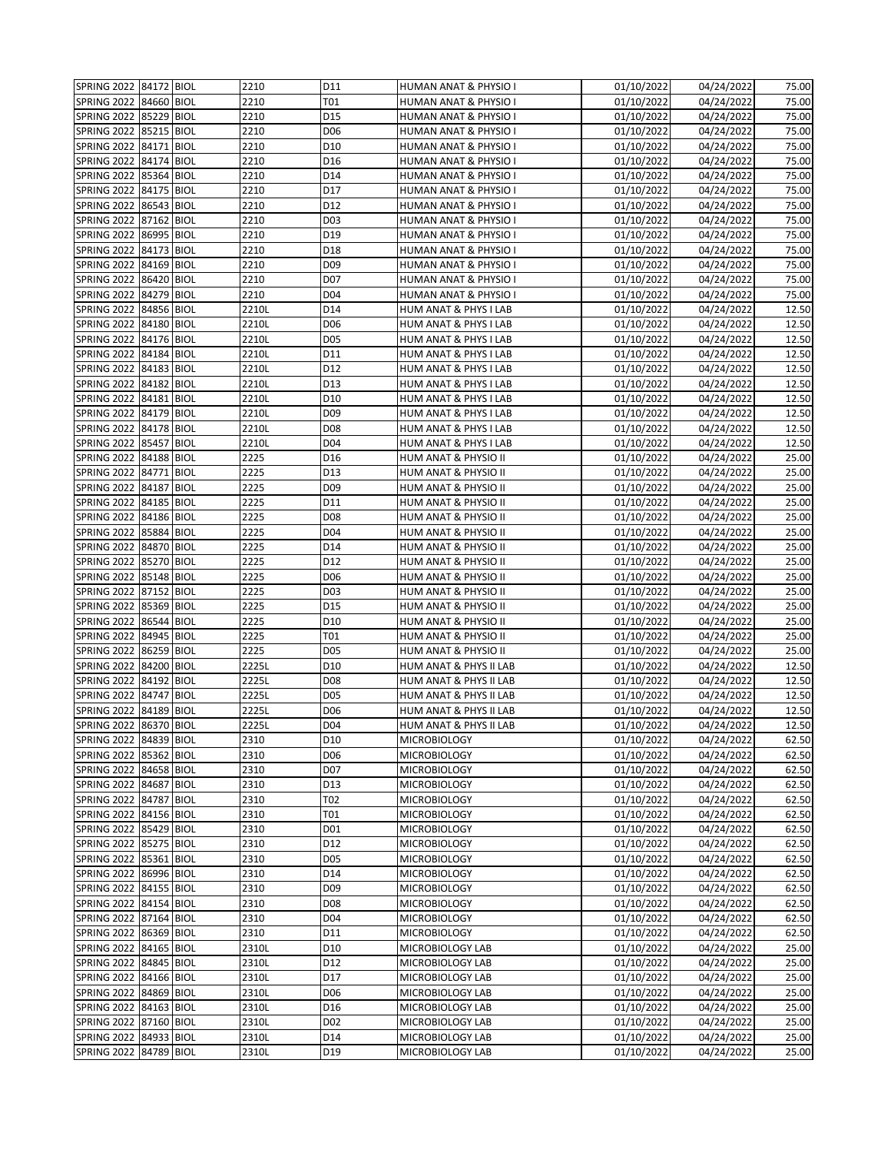| SPRING 2022   84172   BIOL |            | 2210  | D11             | HUMAN ANAT & PHYSIO I  | 01/10/2022              | 04/24/2022 | 75.00 |
|----------------------------|------------|-------|-----------------|------------------------|-------------------------|------------|-------|
| SPRING 2022                | 84660 BIOL | 2210  | T01             | HUMAN ANAT & PHYSIO I  | 01/10/2022              | 04/24/2022 | 75.00 |
| <b>SPRING 2022</b>         | 85229 BIOL | 2210  | D15             | HUMAN ANAT & PHYSIO I  | 01/10/2022              | 04/24/2022 | 75.00 |
| SPRING 2022 85215 BIOL     |            | 2210  | D06             | HUMAN ANAT & PHYSIO I  | 01/10/2022              | 04/24/2022 | 75.00 |
| SPRING 2022                | 84171 BIOL | 2210  | D <sub>10</sub> | HUMAN ANAT & PHYSIO I  | 01/10/2022              | 04/24/2022 | 75.00 |
| <b>SPRING 2022</b>         | 84174 BIOL | 2210  | D16             | HUMAN ANAT & PHYSIO I  | 01/10/2022              | 04/24/2022 | 75.00 |
| <b>SPRING 2022</b>         | 85364 BIOL | 2210  | D14             | HUMAN ANAT & PHYSIO I  | 01/10/2022              | 04/24/2022 | 75.00 |
| SPRING 2022                | 84175 BIOL | 2210  | D17             | HUMAN ANAT & PHYSIO I  | 01/10/2022              | 04/24/2022 | 75.00 |
| <b>SPRING 2022</b>         | 86543 BIOL | 2210  | D12             | HUMAN ANAT & PHYSIO I  | 01/10/2022              | 04/24/2022 | 75.00 |
| <b>SPRING 2022</b>         | 87162 BIOL | 2210  | D03             | HUMAN ANAT & PHYSIO I  | 01/10/2022              | 04/24/2022 | 75.00 |
| <b>SPRING 2022</b>         | 86995 BIOL | 2210  | D19             | HUMAN ANAT & PHYSIO I  | 01/10/2022              | 04/24/2022 | 75.00 |
| <b>SPRING 2022</b>         | 84173 BIOL | 2210  | D18             | HUMAN ANAT & PHYSIO I  | 01/10/2022              | 04/24/2022 | 75.00 |
| <b>SPRING 2022</b>         | 84169 BIOL | 2210  | D <sub>09</sub> | HUMAN ANAT & PHYSIO I  | 01/10/2022              | 04/24/2022 | 75.00 |
| SPRING 2022 86420 BIOL     |            | 2210  | D07             | HUMAN ANAT & PHYSIO I  | 01/10/2022              | 04/24/2022 | 75.00 |
| SPRING 2022                | 84279 BIOL | 2210  | D <sub>04</sub> | HUMAN ANAT & PHYSIO I  | 01/10/2022              | 04/24/2022 | 75.00 |
| SPRING 2022                | 84856 BIOL | 2210L | D14             | HUM ANAT & PHYS I LAB  | 01/10/2022              | 04/24/2022 | 12.50 |
| SPRING 2022                | 84180 BIOL | 2210L | D <sub>06</sub> | HUM ANAT & PHYS I LAB  | 01/10/2022              | 04/24/2022 | 12.50 |
| SPRING 2022                | 84176 BIOL | 2210L | D05             | HUM ANAT & PHYS I LAB  | 01/10/2022              | 04/24/2022 | 12.50 |
| <b>SPRING 2022</b>         | 84184 BIOL | 2210L | D11             | HUM ANAT & PHYS I LAB  | 01/10/2022              | 04/24/2022 | 12.50 |
| <b>SPRING 2022</b>         | 84183 BIOL | 2210L | D12             | HUM ANAT & PHYS I LAB  | 01/10/2022              | 04/24/2022 | 12.50 |
| SPRING 2022                | 84182 BIOL | 2210L | D13             | HUM ANAT & PHYS I LAB  | 01/10/2022              | 04/24/2022 | 12.50 |
| SPRING 2022                | 84181 BIOL | 2210L | D10             | HUM ANAT & PHYS I LAB  | 01/10/2022              | 04/24/2022 | 12.50 |
| <b>SPRING 2022</b>         | 84179 BIOL | 2210L | D <sub>09</sub> | HUM ANAT & PHYS I LAB  | 01/10/2022              | 04/24/2022 | 12.50 |
| SPRING 2022   84178   BIOL |            | 2210L | D08             | HUM ANAT & PHYS I LAB  | 01/10/2022              | 04/24/2022 | 12.50 |
| SPRING 2022                | 85457 BIOL | 2210L | D04             | HUM ANAT & PHYS I LAB  | 01/10/2022              | 04/24/2022 | 12.50 |
| <b>SPRING 2022</b>         | 84188 BIOL | 2225  | D16             | HUM ANAT & PHYSIO II   | 01/10/2022              | 04/24/2022 | 25.00 |
| SPRING 2022                | 84771 BIOL | 2225  | D13             | HUM ANAT & PHYSIO II   | 01/10/2022              | 04/24/2022 | 25.00 |
| <b>SPRING 2022</b>         | 84187 BIOL | 2225  | D <sub>09</sub> | HUM ANAT & PHYSIO II   | 01/10/2022              | 04/24/2022 | 25.00 |
| <b>SPRING 2022</b>         | 84185 BIOL | 2225  | D11             | HUM ANAT & PHYSIO II   | 01/10/2022              | 04/24/2022 | 25.00 |
| <b>SPRING 2022</b>         | 84186 BIOL | 2225  | D <sub>08</sub> | HUM ANAT & PHYSIO II   | 01/10/2022              | 04/24/2022 | 25.00 |
| <b>SPRING 2022</b>         | 85884 BIOL | 2225  | D04             | HUM ANAT & PHYSIO II   | 01/10/2022              | 04/24/2022 | 25.00 |
| SPRING 2022                | 84870 BIOL | 2225  | D14             | HUM ANAT & PHYSIO II   | 01/10/2022              | 04/24/2022 | 25.00 |
| SPRING 2022                | 85270 BIOL | 2225  | D12             | HUM ANAT & PHYSIO II   | 01/10/2022              | 04/24/2022 | 25.00 |
| SPRING 2022   85148   BIOL |            | 2225  | D06             | HUM ANAT & PHYSIO II   | 01/10/2022              | 04/24/2022 | 25.00 |
| <b>SPRING 2022</b>         | 87152 BIOL | 2225  | D03             | HUM ANAT & PHYSIO II   | 01/10/2022              | 04/24/2022 | 25.00 |
| <b>SPRING 2022</b>         | 85369 BIOL | 2225  | D15             | HUM ANAT & PHYSIO II   | 01/10/2022              | 04/24/2022 | 25.00 |
| SPRING 2022                | 86544 BIOL | 2225  | D <sub>10</sub> | HUM ANAT & PHYSIO II   | 01/10/2022              | 04/24/2022 | 25.00 |
| SPRING 2022                | 84945 BIOL | 2225  | T01             | HUM ANAT & PHYSIO II   | 01/10/2022              | 04/24/2022 | 25.00 |
| <b>SPRING 2022</b>         | 86259 BIOL | 2225  | D05             | HUM ANAT & PHYSIO II   | $\overline{01/10/2022}$ | 04/24/2022 | 25.00 |
| SPRING 2022                | 84200 BIOL | 2225L | D10             | HUM ANAT & PHYS II LAB | 01/10/2022              | 04/24/2022 | 12.50 |
| <b>SPRING 2022</b>         | 84192 BIOL | 2225L | D08             | HUM ANAT & PHYS II LAB | 01/10/2022              | 04/24/2022 | 12.50 |
| SPRING 2022                | 84747 BIOL | 2225L | D05             | HUM ANAT & PHYS II LAB | 01/10/2022              | 04/24/2022 | 12.50 |
| SPRING 2022 84189 BIOL     |            | 2225L | D <sub>06</sub> | HUM ANAT & PHYS II LAB | 01/10/2022              | 04/24/2022 | 12.50 |
| SPRING 2022 86370 BIOL     |            | 2225L | D04             | HUM ANAT & PHYS II LAB | 01/10/2022              | 04/24/2022 | 12.50 |
| SPRING 2022 84839 BIOL     |            | 2310  | D10             | <b>MICROBIOLOGY</b>    | 01/10/2022              | 04/24/2022 | 62.50 |
| SPRING 2022 85362 BIOL     |            | 2310  | D06             | <b>MICROBIOLOGY</b>    | 01/10/2022              | 04/24/2022 | 62.50 |
| SPRING 2022 84658 BIOL     |            | 2310  | D07             | <b>MICROBIOLOGY</b>    | 01/10/2022              | 04/24/2022 | 62.50 |
| <b>SPRING 2022</b>         | 84687 BIOL | 2310  | D13             | <b>MICROBIOLOGY</b>    | 01/10/2022              | 04/24/2022 | 62.50 |
| SPRING 2022 84787 BIOL     |            | 2310  | T02             | <b>MICROBIOLOGY</b>    | 01/10/2022              | 04/24/2022 | 62.50 |
| SPRING 2022 84156 BIOL     |            | 2310  | T01             | <b>MICROBIOLOGY</b>    | 01/10/2022              | 04/24/2022 | 62.50 |
| SPRING 2022                | 85429 BIOL | 2310  | D01             | <b>MICROBIOLOGY</b>    | 01/10/2022              | 04/24/2022 | 62.50 |
| <b>SPRING 2022</b>         | 85275 BIOL | 2310  | D12             | <b>MICROBIOLOGY</b>    | 01/10/2022              | 04/24/2022 | 62.50 |
| <b>SPRING 2022</b>         | 85361 BIOL | 2310  | D05             | <b>MICROBIOLOGY</b>    | 01/10/2022              | 04/24/2022 | 62.50 |
| SPRING 2022 86996 BIOL     |            | 2310  | D14             | <b>MICROBIOLOGY</b>    | 01/10/2022              | 04/24/2022 | 62.50 |
| <b>SPRING 2022</b>         | 84155 BIOL | 2310  | D <sub>09</sub> | <b>MICROBIOLOGY</b>    | 01/10/2022              | 04/24/2022 | 62.50 |
| <b>SPRING 2022</b>         | 84154 BIOL | 2310  | D08             | <b>MICROBIOLOGY</b>    | 01/10/2022              | 04/24/2022 | 62.50 |
| <b>SPRING 2022</b>         | 87164 BIOL | 2310  | D04             | <b>MICROBIOLOGY</b>    | 01/10/2022              | 04/24/2022 | 62.50 |
| <b>SPRING 2022</b>         | 86369 BIOL | 2310  | D11             | <b>MICROBIOLOGY</b>    | 01/10/2022              | 04/24/2022 | 62.50 |
| <b>SPRING 2022</b>         | 84165 BIOL | 2310L | D10             | MICROBIOLOGY LAB       | 01/10/2022              | 04/24/2022 | 25.00 |
| <b>SPRING 2022</b>         | 84845 BIOL | 2310L | D12             | MICROBIOLOGY LAB       | 01/10/2022              | 04/24/2022 | 25.00 |
| SPRING 2022                | 84166 BIOL | 2310L | D17             | MICROBIOLOGY LAB       | 01/10/2022              | 04/24/2022 | 25.00 |
| <b>SPRING 2022</b>         | 84869 BIOL | 2310L | D06             | MICROBIOLOGY LAB       | 01/10/2022              | 04/24/2022 | 25.00 |
| <b>SPRING 2022</b>         | 84163 BIOL | 2310L | D16             | MICROBIOLOGY LAB       | 01/10/2022              | 04/24/2022 | 25.00 |
| SPRING 2022 87160 BIOL     |            | 2310L | D02             | MICROBIOLOGY LAB       | 01/10/2022              | 04/24/2022 | 25.00 |
| <b>SPRING 2022</b>         | 84933 BIOL | 2310L | D14             | MICROBIOLOGY LAB       | 01/10/2022              | 04/24/2022 | 25.00 |
| <b>SPRING 2022</b>         | 84789 BIOL | 2310L | D19             | MICROBIOLOGY LAB       | 01/10/2022              | 04/24/2022 | 25.00 |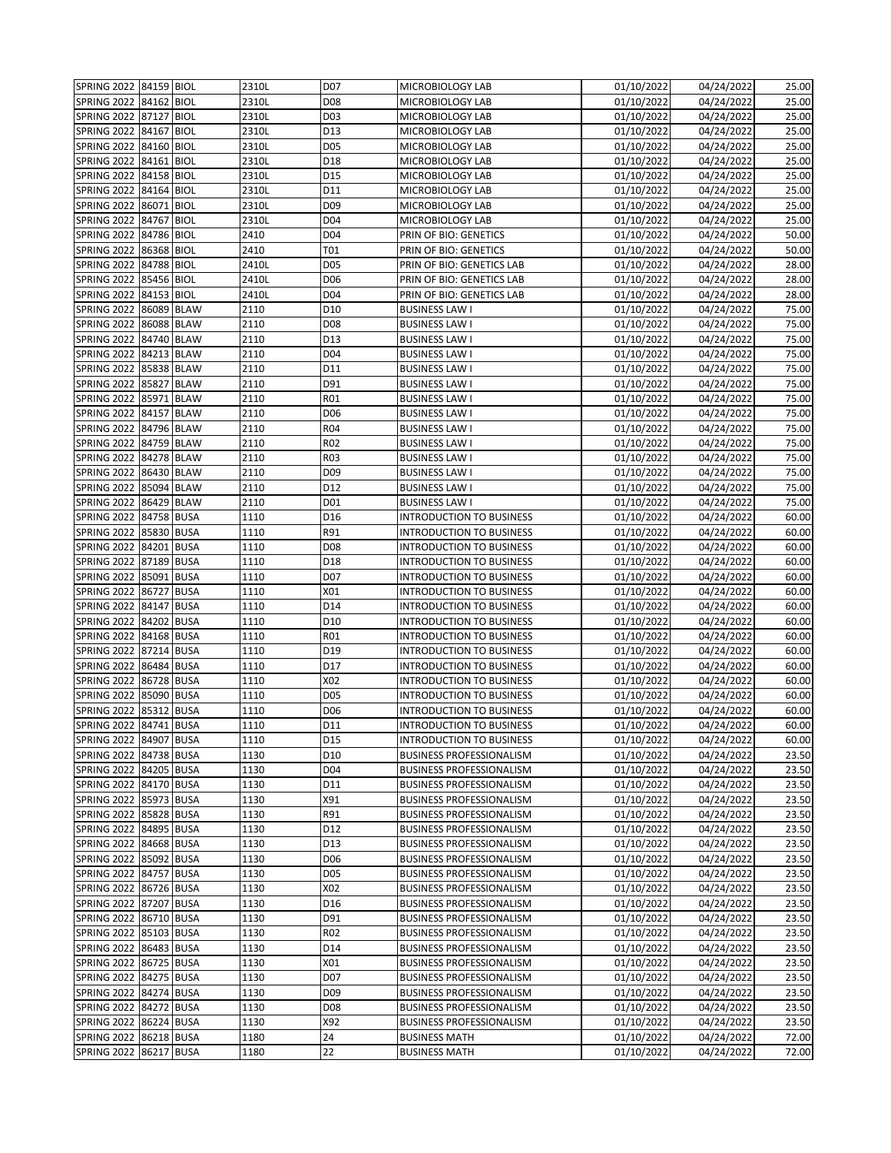| SPRING 2022   84159   BIOL |            |             | 2310L | D <sub>07</sub> | MICROBIOLOGY LAB                | 01/10/2022              | 04/24/2022 | 25.00 |
|----------------------------|------------|-------------|-------|-----------------|---------------------------------|-------------------------|------------|-------|
| SPRING 2022 84162 BIOL     |            |             | 2310L | D <sub>08</sub> | MICROBIOLOGY LAB                | 01/10/2022              | 04/24/2022 | 25.00 |
| <b>SPRING 2022</b>         | 87127      | <b>BIOL</b> | 2310L | D03             | MICROBIOLOGY LAB                | $\overline{01/10/2022}$ | 04/24/2022 | 25.00 |
| SPRING 2022 84167 BIOL     |            |             | 2310L | D13             | MICROBIOLOGY LAB                | 01/10/2022              | 04/24/2022 | 25.00 |
| SPRING 2022                | 84160 BIOL |             | 2310L | D05             | MICROBIOLOGY LAB                | 01/10/2022              | 04/24/2022 | 25.00 |
| <b>SPRING 2022</b>         | 84161 BIOL |             | 2310L | D18             | MICROBIOLOGY LAB                | 01/10/2022              | 04/24/2022 | 25.00 |
| <b>SPRING 2022</b>         | 84158 BIOL |             | 2310L | D15             | MICROBIOLOGY LAB                | 01/10/2022              | 04/24/2022 | 25.00 |
| <b>SPRING 2022</b>         | 84164 BIOL |             | 2310L | D11             | MICROBIOLOGY LAB                | 01/10/2022              | 04/24/2022 | 25.00 |
| <b>SPRING 2022</b>         | 86071 BIOL |             | 2310L | D <sub>09</sub> | MICROBIOLOGY LAB                | 01/10/2022              | 04/24/2022 | 25.00 |
| <b>SPRING 2022</b>         | 84767 BIOL |             | 2310L | D04             | MICROBIOLOGY LAB                | 01/10/2022              | 04/24/2022 | 25.00 |
| <b>SPRING 2022</b>         | 84786 BIOL |             | 2410  | D04             | PRIN OF BIO: GENETICS           | 01/10/2022              | 04/24/2022 | 50.00 |
| <b>SPRING 2022</b>         | 86368 BIOL |             | 2410  | T01             | PRIN OF BIO: GENETICS           | 01/10/2022              | 04/24/2022 | 50.00 |
| SPRING 2022                | 84788 BIOL |             | 2410L | D05             |                                 | 01/10/2022              | 04/24/2022 | 28.00 |
|                            |            |             |       |                 | PRIN OF BIO: GENETICS LAB       |                         |            |       |
| <b>SPRING 2022</b>         | 85456 BIOL |             | 2410L | D06             | PRIN OF BIO: GENETICS LAB       | 01/10/2022              | 04/24/2022 | 28.00 |
| SPRING 2022                | 84153 BIOL |             | 2410L | D <sub>04</sub> | PRIN OF BIO: GENETICS LAB       | 01/10/2022              | 04/24/2022 | 28.00 |
| SPRING 2022                | 86089 BLAW |             | 2110  | D10             | <b>BUSINESS LAW I</b>           | 01/10/2022              | 04/24/2022 | 75.00 |
| <b>SPRING 2022</b>         | 86088 BLAW |             | 2110  | D08             | <b>BUSINESS LAW I</b>           | 01/10/2022              | 04/24/2022 | 75.00 |
| <b>SPRING 2022</b>         | 84740 BLAW |             | 2110  | D13             | <b>BUSINESS LAW I</b>           | 01/10/2022              | 04/24/2022 | 75.00 |
| <b>SPRING 2022</b>         | 84213 BLAW |             | 2110  | D04             | <b>BUSINESS LAW I</b>           | 01/10/2022              | 04/24/2022 | 75.00 |
| <b>SPRING 2022</b>         | 85838 BLAW |             | 2110  | D11             | <b>BUSINESS LAW I</b>           | 01/10/2022              | 04/24/2022 | 75.00 |
| <b>SPRING 2022</b>         | 85827 BLAW |             | 2110  | D91             | <b>BUSINESS LAW I</b>           | 01/10/2022              | 04/24/2022 | 75.00 |
| <b>SPRING 2022</b>         | 85971 BLAW |             | 2110  | R01             | <b>BUSINESS LAW I</b>           | 01/10/2022              | 04/24/2022 | 75.00 |
| SPRING 2022                | 84157 BLAW |             | 2110  | D06             | <b>BUSINESS LAW I</b>           | 01/10/2022              | 04/24/2022 | 75.00 |
| <b>SPRING 2022</b>         | 84796 BLAW |             | 2110  | R04             | <b>BUSINESS LAW I</b>           | 01/10/2022              | 04/24/2022 | 75.00 |
| SPRING 2022                | 84759 BLAW |             | 2110  | R02             | <b>BUSINESS LAW I</b>           | 01/10/2022              | 04/24/2022 | 75.00 |
| <b>SPRING 2022</b>         | 84278 BLAW |             | 2110  | R03             | <b>BUSINESS LAW I</b>           | 01/10/2022              | 04/24/2022 | 75.00 |
| <b>SPRING 2022</b>         | 86430 BLAW |             | 2110  | D <sub>09</sub> | <b>BUSINESS LAW I</b>           | 01/10/2022              | 04/24/2022 | 75.00 |
| SPRING 2022                | 85094 BLAW |             | 2110  | D12             | <b>BUSINESS LAW I</b>           | 01/10/2022              | 04/24/2022 | 75.00 |
| <b>SPRING 2022</b>         | 86429 BLAW |             | 2110  | D01             | <b>BUSINESS LAW I</b>           | 01/10/2022              | 04/24/2022 | 75.00 |
| <b>SPRING 2022</b>         | 84758 BUSA |             | 1110  | D16             | <b>INTRODUCTION TO BUSINESS</b> | 01/10/2022              | 04/24/2022 | 60.00 |
| <b>SPRING 2022</b>         | 85830 BUSA |             | 1110  | R91             | <b>INTRODUCTION TO BUSINESS</b> | 01/10/2022              | 04/24/2022 | 60.00 |
| <b>SPRING 2022</b>         | 84201 BUSA |             | 1110  | D08             | <b>INTRODUCTION TO BUSINESS</b> | 01/10/2022              | 04/24/2022 | 60.00 |
| SPRING 2022                | 87189 BUSA |             | 1110  | D18             | <b>INTRODUCTION TO BUSINESS</b> | 01/10/2022              | 04/24/2022 | 60.00 |
| <b>SPRING 2022</b>         | 85091 BUSA |             | 1110  | D07             | <b>INTRODUCTION TO BUSINESS</b> | 01/10/2022              | 04/24/2022 | 60.00 |
| SPRING 2022                | 86727 BUSA |             | 1110  | X01             | <b>INTRODUCTION TO BUSINESS</b> | 01/10/2022              | 04/24/2022 | 60.00 |
| <b>SPRING 2022</b>         | 84147 BUSA |             | 1110  | D14             | <b>INTRODUCTION TO BUSINESS</b> | 01/10/2022              | 04/24/2022 | 60.00 |
| <b>SPRING 2022</b>         | 84202 BUSA |             | 1110  | D10             | <b>INTRODUCTION TO BUSINESS</b> | 01/10/2022              | 04/24/2022 | 60.00 |
| SPRING 2022                | 84168 BUSA |             | 1110  | R01             | <b>INTRODUCTION TO BUSINESS</b> | 01/10/2022              | 04/24/2022 | 60.00 |
| <b>SPRING 2022</b>         | 87214 BUSA |             | 1110  | D19             | <b>INTRODUCTION TO BUSINESS</b> | 01/10/2022              | 04/24/2022 | 60.00 |
| <b>SPRING 2022</b>         | 86484 BUSA |             | 1110  | D17             | <b>INTRODUCTION TO BUSINESS</b> | 01/10/2022              | 04/24/2022 | 60.00 |
| <b>SPRING 2022</b>         | 86728 BUSA |             | 1110  | X02             | INTRODUCTION TO BUSINESS        | 01/10/2022              | 04/24/2022 | 60.00 |
| <b>SPRING 2022</b>         | 85090 BUSA |             | 1110  | D05             | <b>INTRODUCTION TO BUSINESS</b> | 01/10/2022              | 04/24/2022 | 60.00 |
| <b>SPRING 2022</b>         | 85312 BUSA |             | 1110  | D06             | <b>INTRODUCTION TO BUSINESS</b> | 01/10/2022              | 04/24/2022 | 60.00 |
| SPRING 2022 84741 BUSA     |            |             | 1110  | D11             | <b>INTRODUCTION TO BUSINESS</b> | 01/10/2022              | 04/24/2022 | 60.00 |
| SPRING 2022 84907 BUSA     |            |             | 1110  | D15             | <b>INTRODUCTION TO BUSINESS</b> | 01/10/2022              | 04/24/2022 | 60.00 |
| SPRING 2022 84738 BUSA     |            |             | 1130  | D10             | <b>BUSINESS PROFESSIONALISM</b> | 01/10/2022              | 04/24/2022 | 23.50 |
| SPRING 2022 84205 BUSA     |            |             | 1130  | D04             | <b>BUSINESS PROFESSIONALISM</b> | 01/10/2022              | 04/24/2022 | 23.50 |
| <b>SPRING 2022</b>         | 84170 BUSA |             | 1130  | D11             | <b>BUSINESS PROFESSIONALISM</b> | 01/10/2022              | 04/24/2022 | 23.50 |
| SPRING 2022 85973 BUSA     |            |             | 1130  | X91             | <b>BUSINESS PROFESSIONALISM</b> | 01/10/2022              | 04/24/2022 | 23.50 |
| <b>SPRING 2022</b>         | 85828 BUSA |             | 1130  | R91             | <b>BUSINESS PROFESSIONALISM</b> | 01/10/2022              | 04/24/2022 | 23.50 |
| <b>SPRING 2022</b>         | 84895 BUSA |             | 1130  | D12             | <b>BUSINESS PROFESSIONALISM</b> | 01/10/2022              | 04/24/2022 | 23.50 |
| <b>SPRING 2022</b>         | 84668 BUSA |             | 1130  | D13             | <b>BUSINESS PROFESSIONALISM</b> | 01/10/2022              | 04/24/2022 | 23.50 |
| SPRING 2022                | 85092 BUSA |             | 1130  | D06             |                                 | 01/10/2022              | 04/24/2022 | 23.50 |
|                            |            |             |       |                 | <b>BUSINESS PROFESSIONALISM</b> |                         |            |       |
| SPRING 2022 84757 BUSA     |            |             | 1130  | D05             | <b>BUSINESS PROFESSIONALISM</b> | 01/10/2022              | 04/24/2022 | 23.50 |
| <b>SPRING 2022</b>         | 86726 BUSA |             | 1130  | X02             | <b>BUSINESS PROFESSIONALISM</b> | 01/10/2022              | 04/24/2022 | 23.50 |
| <b>SPRING 2022</b>         | 87207 BUSA |             | 1130  | D16             | <b>BUSINESS PROFESSIONALISM</b> | 01/10/2022              | 04/24/2022 | 23.50 |
| SPRING 2022 86710 BUSA     |            |             | 1130  | D91             | <b>BUSINESS PROFESSIONALISM</b> | 01/10/2022              | 04/24/2022 | 23.50 |
| <b>SPRING 2022</b>         | 85103 BUSA |             | 1130  | R02             | <b>BUSINESS PROFESSIONALISM</b> | 01/10/2022              | 04/24/2022 | 23.50 |
| <b>SPRING 2022</b>         | 86483 BUSA |             | 1130  | D14             | <b>BUSINESS PROFESSIONALISM</b> | 01/10/2022              | 04/24/2022 | 23.50 |
| <b>SPRING 2022</b>         | 86725 BUSA |             | 1130  | X01             | <b>BUSINESS PROFESSIONALISM</b> | 01/10/2022              | 04/24/2022 | 23.50 |
| <b>SPRING 2022</b>         | 84275 BUSA |             | 1130  | D07             | <b>BUSINESS PROFESSIONALISM</b> | 01/10/2022              | 04/24/2022 | 23.50 |
| <b>SPRING 2022</b>         | 84274 BUSA |             | 1130  | D <sub>09</sub> | <b>BUSINESS PROFESSIONALISM</b> | 01/10/2022              | 04/24/2022 | 23.50 |
| SPRING 2022                | 84272 BUSA |             | 1130  | D08             | <b>BUSINESS PROFESSIONALISM</b> | 01/10/2022              | 04/24/2022 | 23.50 |
| SPRING 2022 86224 BUSA     |            |             | 1130  | X92             | <b>BUSINESS PROFESSIONALISM</b> | 01/10/2022              | 04/24/2022 | 23.50 |
| <b>SPRING 2022</b>         | 86218 BUSA |             | 1180  | 24              | <b>BUSINESS MATH</b>            | 01/10/2022              | 04/24/2022 | 72.00 |
| SPRING 2022                | 86217 BUSA |             | 1180  | 22              | <b>BUSINESS MATH</b>            | 01/10/2022              | 04/24/2022 | 72.00 |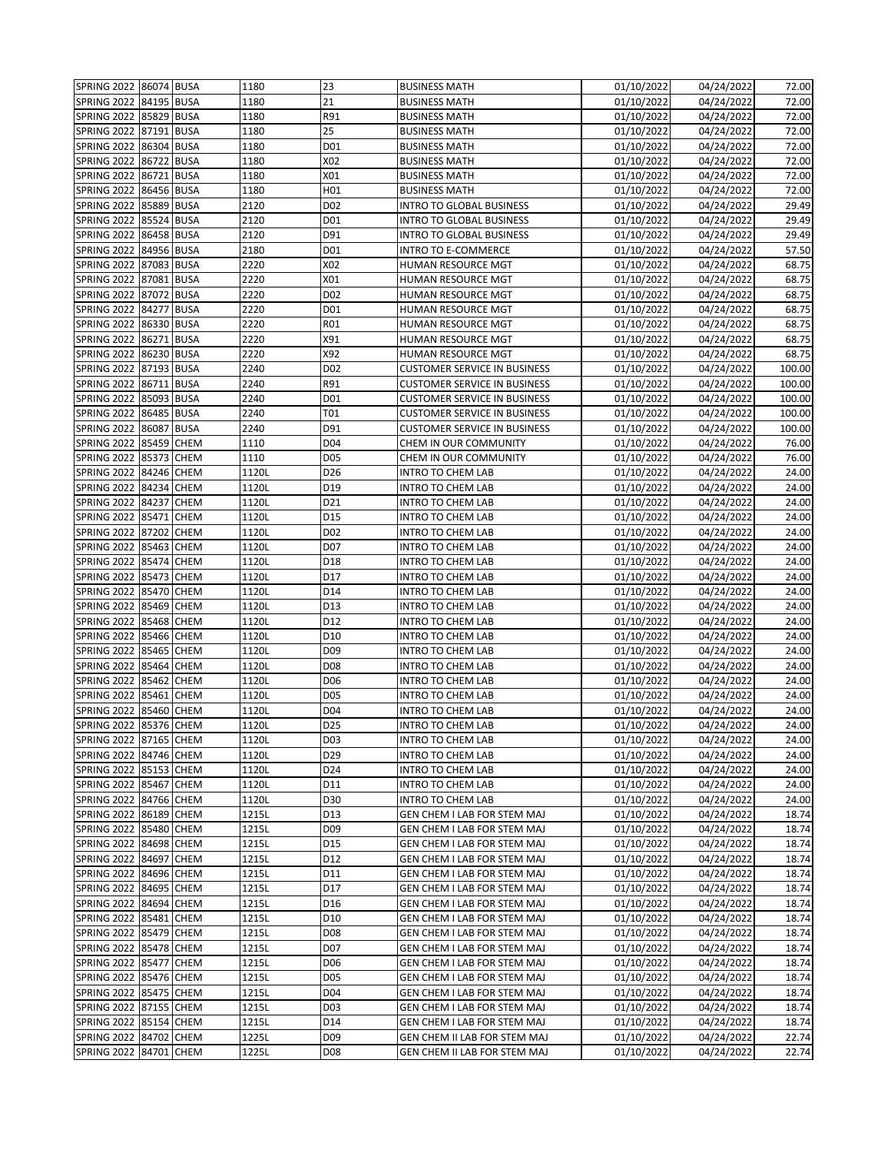| SPRING 2022 86074 BUSA |            |             | 1180  | 23               | <b>BUSINESS MATH</b>                | 01/10/2022              | 04/24/2022               | 72.00  |
|------------------------|------------|-------------|-------|------------------|-------------------------------------|-------------------------|--------------------------|--------|
| SPRING 2022            | 84195 BUSA |             | 1180  | 21               | <b>BUSINESS MATH</b>                | 01/10/2022              | 04/24/2022               | 72.00  |
| <b>SPRING 2022</b>     | 85829 BUSA |             | 1180  | R91              | <b>BUSINESS MATH</b>                | 01/10/2022              | 04/24/2022               | 72.00  |
| SPRING 2022 87191 BUSA |            |             | 1180  | 25               | <b>BUSINESS MATH</b>                | 01/10/2022              | 04/24/2022               | 72.00  |
| SPRING 2022            | 86304 BUSA |             | 1180  | D01              | <b>BUSINESS MATH</b>                | 01/10/2022              | 04/24/2022               | 72.00  |
| <b>SPRING 2022</b>     | 86722 BUSA |             | 1180  | X02              | <b>BUSINESS MATH</b>                | 01/10/2022              | 04/24/2022               | 72.00  |
| <b>SPRING 2022</b>     | 86721 BUSA |             | 1180  | X01              | <b>BUSINESS MATH</b>                | 01/10/2022              | 04/24/2022               | 72.00  |
| SPRING 2022            | 86456 BUSA |             | 1180  | H <sub>01</sub>  | <b>BUSINESS MATH</b>                | 01/10/2022              | 04/24/2022               | 72.00  |
| <b>SPRING 2022</b>     | 85889 BUSA |             | 2120  | D <sub>02</sub>  | <b>INTRO TO GLOBAL BUSINESS</b>     | 01/10/2022              | 04/24/2022               | 29.49  |
| <b>SPRING 2022</b>     | 85524 BUSA |             | 2120  | D01              | <b>INTRO TO GLOBAL BUSINESS</b>     | 01/10/2022              | 04/24/2022               | 29.49  |
| <b>SPRING 2022</b>     | 86458 BUSA |             | 2120  | D91              | <b>INTRO TO GLOBAL BUSINESS</b>     | 01/10/2022              | 04/24/2022               | 29.49  |
| <b>SPRING 2022</b>     | 84956 BUSA |             | 2180  | D01              | <b>INTRO TO E-COMMERCE</b>          | 01/10/2022              | 04/24/2022               | 57.50  |
| SPRING 2022            | 87083 BUSA |             | 2220  | X02              | HUMAN RESOURCE MGT                  | 01/10/2022              | 04/24/2022               | 68.75  |
| SPRING 2022 87081 BUSA |            |             | 2220  | X01              | HUMAN RESOURCE MGT                  | 01/10/2022              | 04/24/2022               | 68.75  |
| <b>SPRING 2022</b>     | 87072 BUSA |             | 2220  | D02              | HUMAN RESOURCE MGT                  | 01/10/2022              | 04/24/2022               | 68.75  |
| <b>SPRING 2022</b>     | 84277      | <b>BUSA</b> | 2220  | D01              | HUMAN RESOURCE MGT                  | 01/10/2022              | 04/24/2022               | 68.75  |
| <b>SPRING 2022</b>     | 86330 BUSA |             | 2220  | R01              | HUMAN RESOURCE MGT                  | 01/10/2022              | 04/24/2022               | 68.75  |
| SPRING 2022            | 86271 BUSA |             | 2220  | X91              | HUMAN RESOURCE MGT                  | 01/10/2022              | 04/24/2022               | 68.75  |
| <b>SPRING 2022</b>     | 86230 BUSA |             | 2220  | X92              | HUMAN RESOURCE MGT                  | 01/10/2022              | $\sqrt{04}/24/2022$      | 68.75  |
| SPRING 2022            | 87193 BUSA |             | 2240  | D <sub>02</sub>  | <b>CUSTOMER SERVICE IN BUSINESS</b> | 01/10/2022              | 04/24/2022               | 100.00 |
| <b>SPRING 2022</b>     | 86711 BUSA |             | 2240  | R91              | <b>CUSTOMER SERVICE IN BUSINESS</b> | 01/10/2022              | 04/24/2022               | 100.00 |
| <b>SPRING 2022</b>     | 85093 BUSA |             | 2240  | D01              | <b>CUSTOMER SERVICE IN BUSINESS</b> | 01/10/2022              | 04/24/2022               | 100.00 |
| SPRING 2022            | 86485 BUSA |             | 2240  | T01              | <b>CUSTOMER SERVICE IN BUSINESS</b> | $\overline{01}/10/2022$ | 04/24/2022               | 100.00 |
| <b>SPRING 2022</b>     | 86087 BUSA |             | 2240  | D91              | <b>CUSTOMER SERVICE IN BUSINESS</b> | 01/10/2022              | 04/24/2022               | 100.00 |
| <b>SPRING 2022</b>     | 85459 CHEM |             | 1110  | D <sub>04</sub>  | CHEM IN OUR COMMUNITY               | 01/10/2022              | 04/24/2022               | 76.00  |
| <b>SPRING 2022</b>     | 85373 CHEM |             | 1110  | D05              | CHEM IN OUR COMMUNITY               | 01/10/2022              | 04/24/2022               | 76.00  |
| <b>SPRING 2022</b>     | 84246 CHEM |             | 1120L | D <sub>26</sub>  | <b>INTRO TO CHEM LAB</b>            | 01/10/2022              | 04/24/2022               | 24.00  |
| SPRING 2022            | 84234 CHEM |             | 1120L | D19              | <b>INTRO TO CHEM LAB</b>            | 01/10/2022              | 04/24/2022               | 24.00  |
| <b>SPRING 2022</b>     | 84237 CHEM |             | 1120L | D21              | <b>INTRO TO CHEM LAB</b>            | 01/10/2022              | 04/24/2022               | 24.00  |
| <b>SPRING 2022</b>     | 85471 CHEM |             | 1120L | D15              | <b>INTRO TO CHEM LAB</b>            | 01/10/2022              | 04/24/2022               | 24.00  |
| <b>SPRING 2022</b>     | 87202 CHEM |             | 1120L | D <sub>0</sub> 2 | <b>INTRO TO CHEM LAB</b>            | 01/10/2022              | 04/24/2022               | 24.00  |
| <b>SPRING 2022</b>     | 85463 CHEM |             | 1120L | D07              | <b>INTRO TO CHEM LAB</b>            | 01/10/2022              | 04/24/2022               | 24.00  |
| SPRING 2022            | 85474 CHEM |             | 1120L | D18              | <b>INTRO TO CHEM LAB</b>            | 01/10/2022              | 04/24/2022               | 24.00  |
| <b>SPRING 2022</b>     | 85473 CHEM |             | 1120L | D17              | <b>INTRO TO CHEM LAB</b>            | 01/10/2022              | 04/24/2022               | 24.00  |
| <b>SPRING 2022</b>     | 85470 CHEM |             | 1120L | D14              | <b>INTRO TO CHEM LAB</b>            | 01/10/2022              | 04/24/2022               | 24.00  |
| SPRING 2022            | 85469 CHEM |             | 1120L | D13              | <b>INTRO TO CHEM LAB</b>            | 01/10/2022              | 04/24/2022               | 24.00  |
| <b>SPRING 2022</b>     | 85468 CHEM |             | 1120L | D12              | <b>INTRO TO CHEM LAB</b>            | 01/10/2022              | 04/24/2022               | 24.00  |
| <b>SPRING 2022</b>     | 85466 CHEM |             | 1120L | D10              | <b>INTRO TO CHEM LAB</b>            | 01/10/2022              | 04/24/2022               | 24.00  |
| <b>SPRING 2022</b>     | 85465 CHEM |             | 1120L | D <sub>09</sub>  | <b>INTRO TO CHEM LAB</b>            | 01/10/2022              | 04/24/2022               | 24.00  |
| <b>SPRING 2022</b>     | 85464      | <b>CHEM</b> | 1120L | D <sub>08</sub>  | <b>INTRO TO CHEM LAB</b>            | 01/10/2022              | 04/24/2022               | 24.00  |
| <b>SPRING 2022</b>     | 85462 CHEM |             | 1120L | D <sub>06</sub>  | INTRO TO CHEM LAB                   | 01/10/2022              | 04/24/2022               | 24.00  |
| <b>SPRING 2022</b>     | 85461 CHEM |             | 1120L | D05              | <b>INTRO TO CHEM LAB</b>            | 01/10/2022              | 04/24/2022               | 24.00  |
| SPRING 2022 85460 CHEM |            |             | 1120L | D04              | <b>INTRO TO CHEM LAB</b>            | 01/10/2022              | 04/24/2022               | 24.00  |
| SPRING 2022 85376 CHEM |            |             | 1120L | D <sub>25</sub>  | <b>INTRO TO CHEM LAB</b>            | 01/10/2022              | 04/24/2022               | 24.00  |
| SPRING 2022 87165 CHEM |            |             | 1120L | D <sub>03</sub>  | <b>INTRO TO CHEM LAB</b>            | 01/10/2022              | 04/24/2022               | 24.00  |
| SPRING 2022 84746 CHEM |            |             | 1120L | D29              | <b>INTRO TO CHEM LAB</b>            | 01/10/2022              | 04/24/2022               | 24.00  |
| SPRING 2022 85153 CHEM |            |             | 1120L | D24              | <b>INTRO TO CHEM LAB</b>            | 01/10/2022              | 04/24/2022               | 24.00  |
| SPRING 2022 85467 CHEM |            |             | 1120L | D11              | <b>INTRO TO CHEM LAB</b>            | 01/10/2022              | 04/24/2022               | 24.00  |
| SPRING 2022 84766 CHEM |            |             | 1120L | D30              | <b>INTRO TO CHEM LAB</b>            | 01/10/2022              | $\overline{0}$ 4/24/2022 | 24.00  |
| <b>SPRING 2022</b>     | 86189 CHEM |             | 1215L | D13              | GEN CHEM I LAB FOR STEM MAJ         | 01/10/2022              | 04/24/2022               | 18.74  |
| <b>SPRING 2022</b>     | 85480 CHEM |             | 1215L | D09              | GEN CHEM I LAB FOR STEM MAJ         | 01/10/2022              | 04/24/2022               | 18.74  |
| <b>SPRING 2022</b>     | 84698 CHEM |             | 1215L | D15              | GEN CHEM I LAB FOR STEM MAJ         | 01/10/2022              | 04/24/2022               | 18.74  |
| <b>SPRING 2022</b>     | 84697 CHEM |             | 1215L | D12              | GEN CHEM I LAB FOR STEM MAJ         | 01/10/2022              | 04/24/2022               | 18.74  |
| <b>SPRING 2022</b>     | 84696 CHEM |             | 1215L | D11              | GEN CHEM I LAB FOR STEM MAJ         | 01/10/2022              | 04/24/2022               | 18.74  |
| <b>SPRING 2022</b>     | 84695 CHEM |             | 1215L | D17              | GEN CHEM I LAB FOR STEM MAJ         | 01/10/2022              | 04/24/2022               | 18.74  |
| <b>SPRING 2022</b>     | 84694 CHEM |             | 1215L | D16              | GEN CHEM I LAB FOR STEM MAJ         | 01/10/2022              | 04/24/2022               | 18.74  |
| <b>SPRING 2022</b>     | 85481 CHEM |             | 1215L | D10              | GEN CHEM I LAB FOR STEM MAJ         | 01/10/2022              | 04/24/2022               | 18.74  |
| SPRING 2022 85479 CHEM |            |             | 1215L | D08              | GEN CHEM I LAB FOR STEM MAJ         | 01/10/2022              | 04/24/2022               | 18.74  |
| SPRING 2022 85478 CHEM |            |             | 1215L | D07              | GEN CHEM I LAB FOR STEM MAJ         | 01/10/2022              | 04/24/2022               | 18.74  |
| SPRING 2022 85477 CHEM |            |             | 1215L | D <sub>06</sub>  | GEN CHEM I LAB FOR STEM MAJ         | 01/10/2022              | 04/24/2022               | 18.74  |
|                        |            |             |       |                  | GEN CHEM I LAB FOR STEM MAJ         | 01/10/2022              | 04/24/2022               | 18.74  |
| <b>SPRING 2022</b>     | 85476 CHEM |             | 1215L | D05              |                                     |                         |                          |        |
| <b>SPRING 2022</b>     | 85475 CHEM |             | 1215L | D04              | GEN CHEM I LAB FOR STEM MAJ         | 01/10/2022              | 04/24/2022               | 18.74  |
| <b>SPRING 2022</b>     | 87155 CHEM |             | 1215L | D03              | GEN CHEM I LAB FOR STEM MAJ         | 01/10/2022              | 04/24/2022               | 18.74  |
| SPRING 2022 85154 CHEM |            |             | 1215L | D14              | GEN CHEM I LAB FOR STEM MAJ         | 01/10/2022              | 04/24/2022               | 18.74  |
| <b>SPRING 2022</b>     | 84702 CHEM |             | 1225L | D <sub>09</sub>  | GEN CHEM II LAB FOR STEM MAJ        | 01/10/2022              | 04/24/2022               | 22.74  |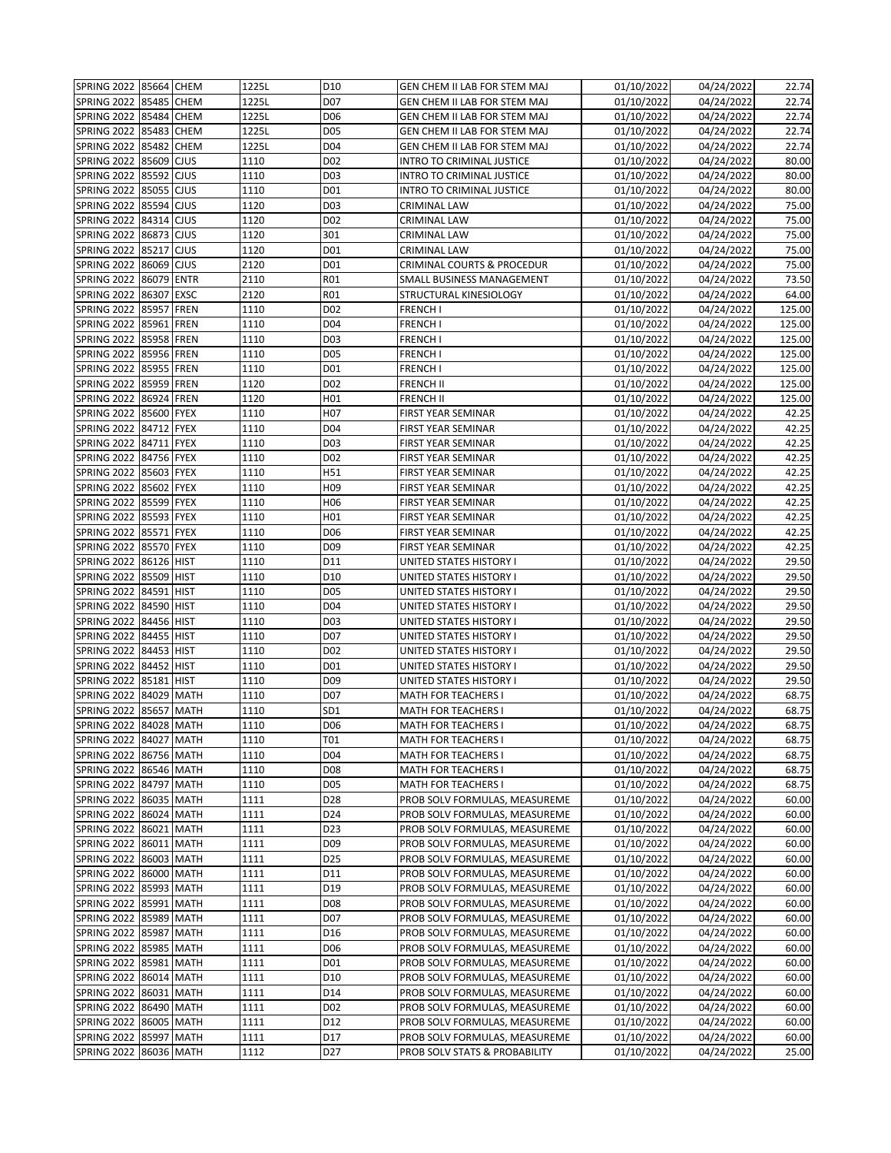| SPRING 2022   85664   CHEM |            |             | 1225L | D10              | GEN CHEM II LAB FOR STEM MAJ          | 01/10/2022 | 04/24/2022 | 22.74  |
|----------------------------|------------|-------------|-------|------------------|---------------------------------------|------------|------------|--------|
| <b>SPRING 2022</b>         | 85485 CHEM |             | 1225L | D07              | GEN CHEM II LAB FOR STEM MAJ          | 01/10/2022 | 04/24/2022 | 22.74  |
| <b>SPRING 2022</b>         | 85484 CHEM |             | 1225L | D <sub>06</sub>  | GEN CHEM II LAB FOR STEM MAJ          | 01/10/2022 | 04/24/2022 | 22.74  |
| <b>SPRING 2022</b>         | 85483 CHEM |             | 1225L | D05              | GEN CHEM II LAB FOR STEM MAJ          | 01/10/2022 | 04/24/2022 | 22.74  |
| SPRING 2022                | 85482 CHEM |             | 1225L | D <sub>04</sub>  | GEN CHEM II LAB FOR STEM MAJ          | 01/10/2022 | 04/24/2022 | 22.74  |
| SPRING 2022                | 85609      | <b>CJUS</b> | 1110  | D <sub>0</sub> 2 | <b>INTRO TO CRIMINAL JUSTICE</b>      | 01/10/2022 | 04/24/2022 | 80.00  |
| <b>SPRING 2022</b>         | 85592 CJUS |             | 1110  | D <sub>03</sub>  | <b>INTRO TO CRIMINAL JUSTICE</b>      | 01/10/2022 | 04/24/2022 | 80.00  |
| SPRING 2022                | 85055 CJUS |             | 1110  | D01              | INTRO TO CRIMINAL JUSTICE             | 01/10/2022 | 04/24/2022 | 80.00  |
| <b>SPRING 2022</b>         | 85594 CJUS |             | 1120  | D03              | CRIMINAL LAW                          | 01/10/2022 | 04/24/2022 | 75.00  |
| <b>SPRING 2022</b>         | 84314      | <b>CJUS</b> | 1120  | D02              | CRIMINAL LAW                          | 01/10/2022 | 04/24/2022 | 75.00  |
| <b>SPRING 2022</b>         | 86873 CJUS |             | 1120  | 301              | CRIMINAL LAW                          | 01/10/2022 | 04/24/2022 | 75.00  |
| <b>SPRING 2022</b>         | 85217 CJUS |             | 1120  | D01              | CRIMINAL LAW                          | 01/10/2022 | 04/24/2022 | 75.00  |
| <b>SPRING 2022</b>         | 86069 CJUS |             | 2120  | D01              | <b>CRIMINAL COURTS &amp; PROCEDUR</b> | 01/10/2022 | 04/24/2022 | 75.00  |
| <b>SPRING 2022</b>         | 86079 ENTR |             | 2110  | R01              | SMALL BUSINESS MANAGEMENT             | 01/10/2022 | 04/24/2022 | 73.50  |
| <b>SPRING 2022</b>         | 86307 EXSC |             | 2120  | R01              | STRUCTURAL KINESIOLOGY                | 01/10/2022 | 04/24/2022 | 64.00  |
| SPRING 2022                | 85957      | <b>FREN</b> | 1110  | D <sub>02</sub>  | <b>FRENCH I</b>                       | 01/10/2022 | 04/24/2022 | 125.00 |
| <b>SPRING 2022</b>         | 85961 FREN |             | 1110  | D04              | <b>FRENCH I</b>                       | 01/10/2022 | 04/24/2022 | 125.00 |
| <b>SPRING 2022</b>         | 85958 FREN |             | 1110  | D03              | FRENCH I                              | 01/10/2022 | 04/24/2022 | 125.00 |
| <b>SPRING 2022</b>         | 85956 FREN |             | 1110  | D05              | FRENCH I                              | 01/10/2022 | 04/24/2022 | 125.00 |
| <b>SPRING 2022</b>         | 85955 FREN |             | 1110  | D01              | FRENCH I                              | 01/10/2022 | 04/24/2022 | 125.00 |
| SPRING 2022                | 85959 FREN |             | 1120  | D02              | FRENCH II                             | 01/10/2022 | 04/24/2022 | 125.00 |
| <b>SPRING 2022</b>         | 86924 FREN |             | 1120  | H <sub>01</sub>  | <b>FRENCH II</b>                      | 01/10/2022 | 04/24/2022 | 125.00 |
| <b>SPRING 2022</b>         | 85600 FYEX |             | 1110  | H <sub>0</sub> 7 | FIRST YEAR SEMINAR                    | 01/10/2022 | 04/24/2022 | 42.25  |
| <b>SPRING 2022</b>         | 84712 FYEX |             | 1110  | D04              | FIRST YEAR SEMINAR                    | 01/10/2022 | 04/24/2022 | 42.25  |
| <b>SPRING 2022</b>         | 84711 FYEX |             | 1110  | D <sub>03</sub>  | FIRST YEAR SEMINAR                    | 01/10/2022 | 04/24/2022 | 42.25  |
| <b>SPRING 2022</b>         | 84756 FYEX |             | 1110  | D <sub>0</sub> 2 | <b>FIRST YEAR SEMINAR</b>             | 01/10/2022 | 04/24/2022 | 42.25  |
| <b>SPRING 2022</b>         | 85603 FYEX |             | 1110  | H51              | <b>FIRST YEAR SEMINAR</b>             | 01/10/2022 | 04/24/2022 | 42.25  |
| SPRING 2022                | 85602 FYEX |             | 1110  | H <sub>09</sub>  | <b>FIRST YEAR SEMINAR</b>             | 01/10/2022 | 04/24/2022 | 42.25  |
| SPRING 2022                | 85599 FYEX |             | 1110  | H06              | FIRST YEAR SEMINAR                    | 01/10/2022 | 04/24/2022 | 42.25  |
| <b>SPRING 2022</b>         | 85593 FYEX |             | 1110  | H01              | FIRST YEAR SEMINAR                    | 01/10/2022 | 04/24/2022 | 42.25  |
| SPRING 2022                | 85571 FYEX |             | 1110  | D06              | FIRST YEAR SEMINAR                    | 01/10/2022 | 04/24/2022 | 42.25  |
| <b>SPRING 2022</b>         | 85570 FYEX |             | 1110  | D <sub>09</sub>  | FIRST YEAR SEMINAR                    | 01/10/2022 | 04/24/2022 | 42.25  |
| <b>SPRING 2022</b>         | 86126 HIST |             | 1110  | D11              | UNITED STATES HISTORY I               | 01/10/2022 | 04/24/2022 | 29.50  |
| <b>SPRING 2022</b>         | 85509 HIST |             | 1110  | D10              | UNITED STATES HISTORY I               | 01/10/2022 | 04/24/2022 | 29.50  |
| <b>SPRING 2022</b>         | 84591 HIST |             | 1110  | D <sub>05</sub>  | UNITED STATES HISTORY I               | 01/10/2022 | 04/24/2022 | 29.50  |
| SPRING 2022                | 84590      | <b>HIST</b> | 1110  | D04              | UNITED STATES HISTORY I               | 01/10/2022 | 04/24/2022 | 29.50  |
| <b>SPRING 2022</b>         | 84456 HIST |             | 1110  | D03              | UNITED STATES HISTORY I               | 01/10/2022 | 04/24/2022 | 29.50  |
| SPRING 2022                | 84455 HIST |             | 1110  | D07              | UNITED STATES HISTORY I               | 01/10/2022 | 04/24/2022 | 29.50  |
| <b>SPRING 2022</b>         | 84453 HIST |             | 1110  | D <sub>02</sub>  | UNITED STATES HISTORY I               | 01/10/2022 | 04/24/2022 | 29.50  |
| <b>SPRING 2022</b>         | 84452 HIST |             | 1110  | D01              | UNITED STATES HISTORY I               | 01/10/2022 | 04/24/2022 | 29.50  |
| SPRING 2022                | 85181      | <b>HIST</b> | 1110  | D09              | UNITED STATES HISTORY I               | 01/10/2022 | 04/24/2022 | 29.50  |
| <b>SPRING 2022</b>         | 84029 MATH |             | 1110  | D07              | <b>MATH FOR TEACHERS I</b>            | 01/10/2022 | 04/24/2022 | 68.75  |
| <b>SPRING 2022</b>         | 85657 MATH |             | 1110  | SD <sub>1</sub>  | <b>MATH FOR TEACHERS I</b>            | 01/10/2022 | 04/24/2022 | 68.75  |
| SPRING 2022 84028 MATH     |            |             | 1110  | D <sub>06</sub>  | <b>MATH FOR TEACHERS I</b>            | 01/10/2022 | 04/24/2022 | 68.75  |
| SPRING 2022 84027 MATH     |            |             | 1110  | T01              | <b>MATH FOR TEACHERS I</b>            | 01/10/2022 | 04/24/2022 | 68.75  |
| SPRING 2022 86756 MATH     |            |             | 1110  | D04              | <b>MATH FOR TEACHERS I</b>            | 01/10/2022 | 04/24/2022 | 68.75  |
| SPRING 2022   86546   MATH |            |             | 1110  | D08              | <b>MATH FOR TEACHERS I</b>            | 01/10/2022 | 04/24/2022 | 68.75  |
| SPRING 2022 84797 MATH     |            |             | 1110  | D05              | <b>MATH FOR TEACHERS I</b>            | 01/10/2022 | 04/24/2022 | 68.75  |
| SPRING 2022 86035 MATH     |            |             | 1111  | D28              | PROB SOLV FORMULAS, MEASUREME         | 01/10/2022 | 04/24/2022 | 60.00  |
| <b>SPRING 2022</b>         | 86024 MATH |             | 1111  | D24              | PROB SOLV FORMULAS, MEASUREME         | 01/10/2022 | 04/24/2022 | 60.00  |
| <b>SPRING 2022</b>         | 86021 MATH |             | 1111  | D23              | PROB SOLV FORMULAS, MEASUREME         | 01/10/2022 | 04/24/2022 | 60.00  |
| <b>SPRING 2022</b>         | 86011 MATH |             | 1111  | D <sub>09</sub>  | PROB SOLV FORMULAS, MEASUREME         | 01/10/2022 | 04/24/2022 | 60.00  |
| <b>SPRING 2022</b>         | 86003 MATH |             | 1111  | D25              | PROB SOLV FORMULAS, MEASUREME         | 01/10/2022 | 04/24/2022 | 60.00  |
| SPRING 2022 86000 MATH     |            |             | 1111  | D11              | PROB SOLV FORMULAS, MEASUREME         | 01/10/2022 | 04/24/2022 | 60.00  |
| <b>SPRING 2022</b>         | 85993 MATH |             | 1111  | D19              | PROB SOLV FORMULAS, MEASUREME         | 01/10/2022 | 04/24/2022 | 60.00  |
| <b>SPRING 2022</b>         | 85991 MATH |             | 1111  | D08              | PROB SOLV FORMULAS, MEASUREME         | 01/10/2022 | 04/24/2022 | 60.00  |
| <b>SPRING 2022</b>         | 85989 MATH |             | 1111  | D07              | PROB SOLV FORMULAS, MEASUREME         | 01/10/2022 | 04/24/2022 | 60.00  |
| <b>SPRING 2022</b>         | 85987 MATH |             | 1111  | D16              | PROB SOLV FORMULAS, MEASUREME         | 01/10/2022 | 04/24/2022 | 60.00  |
| <b>SPRING 2022</b>         | 85985 MATH |             | 1111  | D06              | PROB SOLV FORMULAS, MEASUREME         | 01/10/2022 | 04/24/2022 | 60.00  |
| <b>SPRING 2022</b>         | 85981 MATH |             | 1111  | D01              | PROB SOLV FORMULAS, MEASUREME         | 01/10/2022 | 04/24/2022 | 60.00  |
| <b>SPRING 2022</b>         | 86014 MATH |             | 1111  | D10              | PROB SOLV FORMULAS, MEASUREME         | 01/10/2022 | 04/24/2022 | 60.00  |
| <b>SPRING 2022</b>         | 86031 MATH |             | 1111  | D14              | PROB SOLV FORMULAS, MEASUREME         | 01/10/2022 | 04/24/2022 | 60.00  |
| <b>SPRING 2022</b>         | 86490 MATH |             | 1111  | D <sub>0</sub> 2 | PROB SOLV FORMULAS, MEASUREME         | 01/10/2022 | 04/24/2022 | 60.00  |
| SPRING 2022                | 86005 MATH |             | 1111  | D12              | PROB SOLV FORMULAS, MEASUREME         | 01/10/2022 | 04/24/2022 | 60.00  |
| <b>SPRING 2022</b>         | 85997 MATH |             | 1111  | D17              | PROB SOLV FORMULAS, MEASUREME         | 01/10/2022 | 04/24/2022 | 60.00  |
| <b>SPRING 2022</b>         | 86036 MATH |             | 1112  | D27              | PROB SOLV STATS & PROBABILITY         | 01/10/2022 | 04/24/2022 | 25.00  |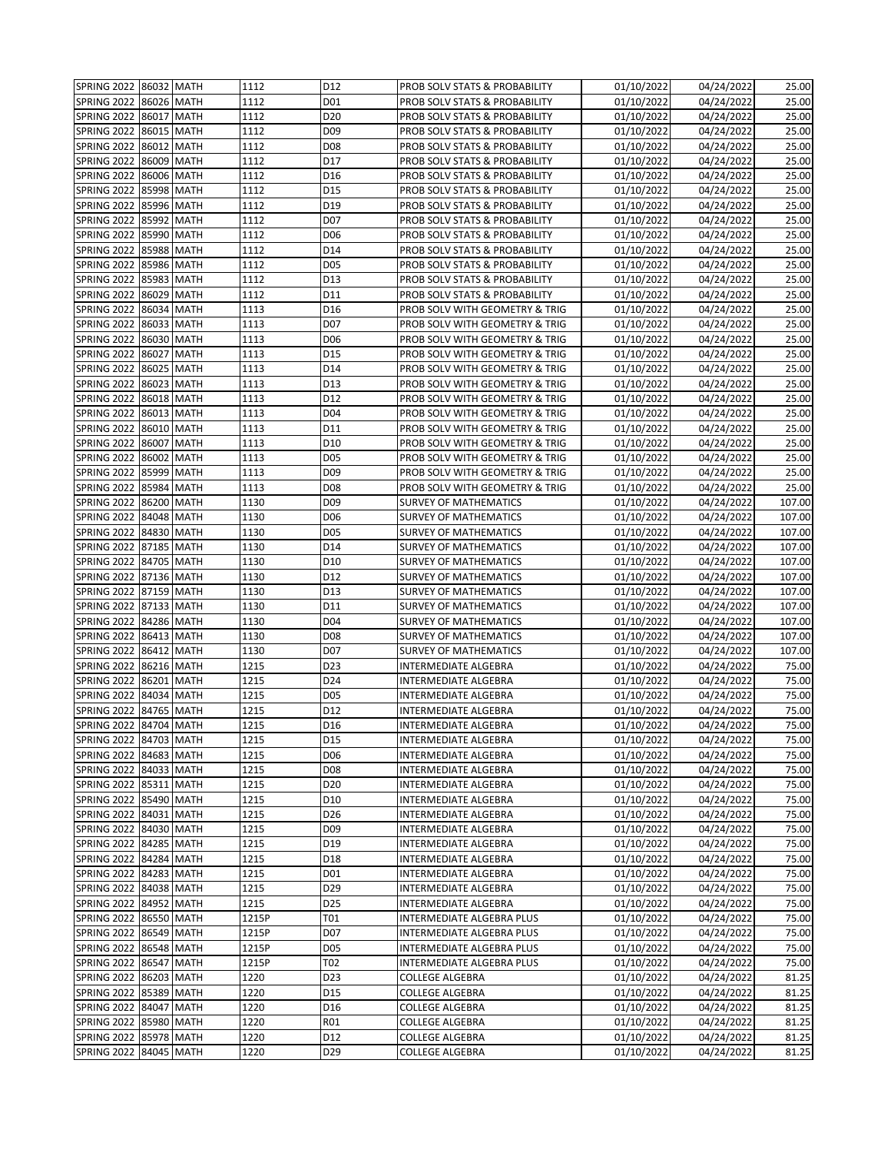| SPRING 2022 86032 MATH |            |             | 1112  | D12             | PROB SOLV STATS & PROBABILITY  | 01/10/2022 | 04/24/2022 | 25.00  |
|------------------------|------------|-------------|-------|-----------------|--------------------------------|------------|------------|--------|
| <b>SPRING 2022</b>     | 86026 MATH |             | 1112  | D01             | PROB SOLV STATS & PROBABILITY  | 01/10/2022 | 04/24/2022 | 25.00  |
| <b>SPRING 2022</b>     | 86017 MATH |             | 1112  | D <sub>20</sub> | PROB SOLV STATS & PROBABILITY  | 01/10/2022 | 04/24/2022 | 25.00  |
| <b>SPRING 2022</b>     | 86015 MATH |             | 1112  | D <sub>09</sub> | PROB SOLV STATS & PROBABILITY  | 01/10/2022 | 04/24/2022 | 25.00  |
| SPRING 2022            | 86012 MATH |             | 1112  | D <sub>08</sub> | PROB SOLV STATS & PROBABILITY  | 01/10/2022 | 04/24/2022 | 25.00  |
| SPRING 2022            | 86009 MATH |             | 1112  | D17             | PROB SOLV STATS & PROBABILITY  | 01/10/2022 | 04/24/2022 | 25.00  |
| <b>SPRING 2022</b>     | 86006 MATH |             | 1112  | D16             | PROB SOLV STATS & PROBABILITY  | 01/10/2022 | 04/24/2022 | 25.00  |
| SPRING 2022            | 85998 MATH |             | 1112  | D15             | PROB SOLV STATS & PROBABILITY  | 01/10/2022 | 04/24/2022 | 25.00  |
| SPRING 2022            | 85996 MATH |             | 1112  | D19             | PROB SOLV STATS & PROBABILITY  | 01/10/2022 | 04/24/2022 | 25.00  |
| <b>SPRING 2022</b>     | 85992 MATH |             | 1112  | D07             | PROB SOLV STATS & PROBABILITY  | 01/10/2022 | 04/24/2022 | 25.00  |
| SPRING 2022            | 85990      |             |       |                 |                                |            | 04/24/2022 | 25.00  |
|                        | 85988 MATH | <b>MATH</b> | 1112  | D06             | PROB SOLV STATS & PROBABILITY  | 01/10/2022 |            |        |
| SPRING 2022            |            |             | 1112  | D14             | PROB SOLV STATS & PROBABILITY  | 01/10/2022 | 04/24/2022 | 25.00  |
| SPRING 2022            | 85986 MATH |             | 1112  | D05             | PROB SOLV STATS & PROBABILITY  | 01/10/2022 | 04/24/2022 | 25.00  |
| <b>SPRING 2022</b>     | 85983 MATH |             | 1112  | D13             | PROB SOLV STATS & PROBABILITY  | 01/10/2022 | 04/24/2022 | 25.00  |
| SPRING 2022            | 86029 MATH |             | 1112  | D11             | PROB SOLV STATS & PROBABILITY  | 01/10/2022 | 04/24/2022 | 25.00  |
| SPRING 2022            | 86034 MATH |             | 1113  | D16             | PROB SOLV WITH GEOMETRY & TRIG | 01/10/2022 | 04/24/2022 | 25.00  |
| <b>SPRING 2022</b>     | 86033 MATH |             | 1113  | D07             | PROB SOLV WITH GEOMETRY & TRIG | 01/10/2022 | 04/24/2022 | 25.00  |
| SPRING 2022            | 86030 MATH |             | 1113  | D06             | PROB SOLV WITH GEOMETRY & TRIG | 01/10/2022 | 04/24/2022 | 25.00  |
| SPRING 2022            | 86027      | <b>MATH</b> | 1113  | D15             | PROB SOLV WITH GEOMETRY & TRIG | 01/10/2022 | 04/24/2022 | 25.00  |
| <b>SPRING 2022</b>     | 86025 MATH |             | 1113  | D14             | PROB SOLV WITH GEOMETRY & TRIG | 01/10/2022 | 04/24/2022 | 25.00  |
| SPRING 2022            | 86023 MATH |             | 1113  | D13             | PROB SOLV WITH GEOMETRY & TRIG | 01/10/2022 | 04/24/2022 | 25.00  |
| SPRING 2022            | 86018 MATH |             | 1113  | D12             | PROB SOLV WITH GEOMETRY & TRIG | 01/10/2022 | 04/24/2022 | 25.00  |
| SPRING 2022            | 86013 MATH |             | 1113  | D04             | PROB SOLV WITH GEOMETRY & TRIG | 01/10/2022 | 04/24/2022 | 25.00  |
| <b>SPRING 2022</b>     | 86010 MATH |             | 1113  | D11             | PROB SOLV WITH GEOMETRY & TRIG | 01/10/2022 | 04/24/2022 | 25.00  |
| SPRING 2022            | 86007 MATH |             | 1113  | D10             | PROB SOLV WITH GEOMETRY & TRIG | 01/10/2022 | 04/24/2022 | 25.00  |
| SPRING 2022            | 86002 MATH |             | 1113  | D <sub>05</sub> | PROB SOLV WITH GEOMETRY & TRIG | 01/10/2022 | 04/24/2022 | 25.00  |
| <b>SPRING 2022</b>     | 85999 MATH |             | 1113  | D <sub>09</sub> | PROB SOLV WITH GEOMETRY & TRIG | 01/10/2022 | 04/24/2022 | 25.00  |
| <b>SPRING 2022</b>     | 85984 MATH |             | 1113  | D <sub>08</sub> | PROB SOLV WITH GEOMETRY & TRIG | 01/10/2022 | 04/24/2022 | 25.00  |
| SPRING 2022            | 86200 MATH |             | 1130  | D <sub>09</sub> | <b>SURVEY OF MATHEMATICS</b>   | 01/10/2022 | 04/24/2022 | 107.00 |
| <b>SPRING 2022</b>     | 84048 MATH |             | 1130  | D <sub>06</sub> | <b>SURVEY OF MATHEMATICS</b>   | 01/10/2022 | 04/24/2022 | 107.00 |
| <b>SPRING 2022</b>     | 84830      | <b>MATH</b> | 1130  | D05             | <b>SURVEY OF MATHEMATICS</b>   | 01/10/2022 | 04/24/2022 | 107.00 |
| <b>SPRING 2022</b>     | 87185 MATH |             | 1130  | D14             | <b>SURVEY OF MATHEMATICS</b>   | 01/10/2022 | 04/24/2022 | 107.00 |
| SPRING 2022            | 84705 MATH |             | 1130  | D10             | <b>SURVEY OF MATHEMATICS</b>   | 01/10/2022 | 04/24/2022 | 107.00 |
| <b>SPRING 2022</b>     | 87136 MATH |             | 1130  | D12             | SURVEY OF MATHEMATICS          | 01/10/2022 | 04/24/2022 | 107.00 |
| SPRING 2022            | 87159 MATH |             | 1130  | D13             | <b>SURVEY OF MATHEMATICS</b>   | 01/10/2022 | 04/24/2022 | 107.00 |
| SPRING 2022            | 87133 MATH |             | 1130  | D11             | <b>SURVEY OF MATHEMATICS</b>   | 01/10/2022 | 04/24/2022 | 107.00 |
| <b>SPRING 2022</b>     | 84286 MATH |             | 1130  | D04             | <b>SURVEY OF MATHEMATICS</b>   | 01/10/2022 | 04/24/2022 | 107.00 |
| SPRING 2022            | 86413 MATH |             | 1130  | D08             | <b>SURVEY OF MATHEMATICS</b>   | 01/10/2022 | 04/24/2022 | 107.00 |
| <b>SPRING 2022</b>     | 86412 MATH |             | 1130  | D07             | <b>SURVEY OF MATHEMATICS</b>   | 01/10/2022 | 04/24/2022 | 107.00 |
| <b>SPRING 2022</b>     | 86216 MATH |             | 1215  | D23             | INTERMEDIATE ALGEBRA           | 01/10/2022 | 04/24/2022 | 75.00  |
| SPRING 2022            | 86201 MATH |             | 1215  | D24             | INTERMEDIATE ALGEBRA           | 01/10/2022 | 04/24/2022 | 75.00  |
| <b>SPRING 2022</b>     | 84034 MATH |             | 1215  | D05             | <b>INTERMEDIATE ALGEBRA</b>    | 01/10/2022 | 04/24/2022 | 75.00  |
| <b>SPRING 2022</b>     | 84765 MATH |             | 1215  | D12             | INTERMEDIATE ALGEBRA           | 01/10/2022 | 04/24/2022 | 75.00  |
| SPRING 2022 84704 MATH |            |             | 1215  | D16             | <b>INTERMEDIATE ALGEBRA</b>    | 01/10/2022 | 04/24/2022 | 75.00  |
| SPRING 2022 84703 MATH |            |             | 1215  | D15             | <b>INTERMEDIATE ALGEBRA</b>    | 01/10/2022 | 04/24/2022 | 75.00  |
| SPRING 2022 84683 MATH |            |             | 1215  | D06             | <b>INTERMEDIATE ALGEBRA</b>    | 01/10/2022 | 04/24/2022 | 75.00  |
| SPRING 2022 84033 MATH |            |             | 1215  | D08             | INTERMEDIATE ALGEBRA           | 01/10/2022 | 04/24/2022 | 75.00  |
| SPRING 2022 85311 MATH |            |             | 1215  | D20             | <b>INTERMEDIATE ALGEBRA</b>    | 01/10/2022 | 04/24/2022 | 75.00  |
| SPRING 2022 85490 MATH |            |             | 1215  | D10             | INTERMEDIATE ALGEBRA           | 01/10/2022 | 04/24/2022 | 75.00  |
| <b>SPRING 2022</b>     | 84031 MATH |             | 1215  | D <sub>26</sub> | INTERMEDIATE ALGEBRA           | 01/10/2022 | 04/24/2022 | 75.00  |
| <b>SPRING 2022</b>     | 84030 MATH |             | 1215  | D09             | INTERMEDIATE ALGEBRA           | 01/10/2022 | 04/24/2022 | 75.00  |
| <b>SPRING 2022</b>     | 84285 MATH |             | 1215  | D19             | INTERMEDIATE ALGEBRA           | 01/10/2022 | 04/24/2022 | 75.00  |
| <b>SPRING 2022</b>     | 84284 MATH |             | 1215  | D18             | <b>INTERMEDIATE ALGEBRA</b>    | 01/10/2022 | 04/24/2022 | 75.00  |
| SPRING 2022 84283 MATH |            |             | 1215  | D01             | INTERMEDIATE ALGEBRA           | 01/10/2022 | 04/24/2022 | 75.00  |
| <b>SPRING 2022</b>     | 84038 MATH |             | 1215  | D29             | INTERMEDIATE ALGEBRA           | 01/10/2022 | 04/24/2022 | 75.00  |
| <b>SPRING 2022</b>     | 84952 MATH |             | 1215  | D25             | INTERMEDIATE ALGEBRA           | 01/10/2022 | 04/24/2022 | 75.00  |
| <b>SPRING 2022</b>     | 86550 MATH |             | 1215P | T01             | INTERMEDIATE ALGEBRA PLUS      | 01/10/2022 | 04/24/2022 | 75.00  |
| <b>SPRING 2022</b>     | 86549 MATH |             | 1215P | D07             | INTERMEDIATE ALGEBRA PLUS      | 01/10/2022 | 04/24/2022 | 75.00  |
| <b>SPRING 2022</b>     | 86548 MATH |             | 1215P | D05             | INTERMEDIATE ALGEBRA PLUS      | 01/10/2022 | 04/24/2022 | 75.00  |
| <b>SPRING 2022</b>     | 86547 MATH |             | 1215P | T02             | INTERMEDIATE ALGEBRA PLUS      | 01/10/2022 | 04/24/2022 | 75.00  |
| <b>SPRING 2022</b>     | 86203 MATH |             | 1220  | D23             | COLLEGE ALGEBRA                | 01/10/2022 | 04/24/2022 | 81.25  |
| <b>SPRING 2022</b>     | 85389 MATH |             | 1220  | D15             | <b>COLLEGE ALGEBRA</b>         | 01/10/2022 | 04/24/2022 | 81.25  |
| <b>SPRING 2022</b>     | 84047 MATH |             | 1220  | D16             | COLLEGE ALGEBRA                | 01/10/2022 | 04/24/2022 | 81.25  |
| SPRING 2022 85980 MATH |            |             | 1220  | R01             | COLLEGE ALGEBRA                | 01/10/2022 | 04/24/2022 | 81.25  |
| <b>SPRING 2022</b>     | 85978 MATH |             | 1220  | D12             | COLLEGE ALGEBRA                | 01/10/2022 | 04/24/2022 | 81.25  |
| <b>SPRING 2022</b>     | 84045 MATH |             | 1220  | D29             | COLLEGE ALGEBRA                | 01/10/2022 | 04/24/2022 | 81.25  |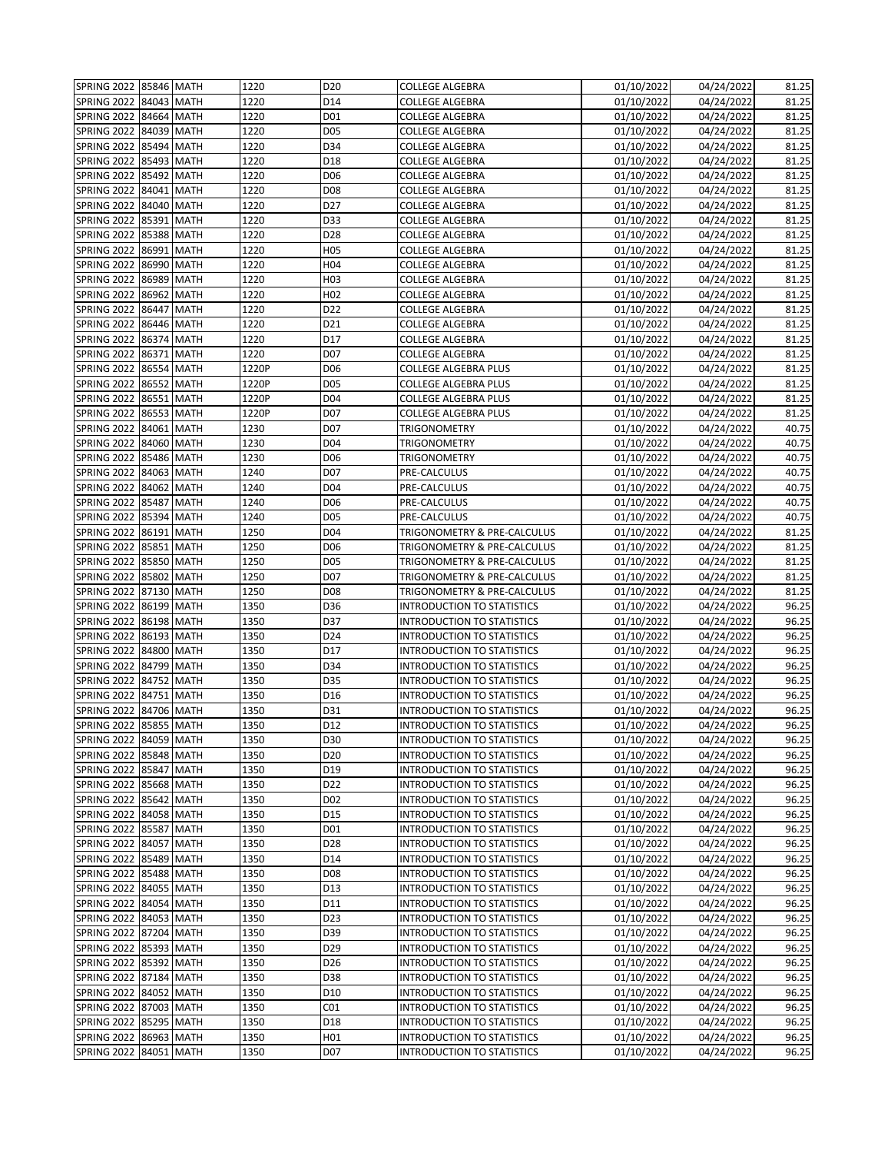| SPRING 2022 85846 MATH |            |             | 1220  | D <sub>20</sub>  | <b>COLLEGE ALGEBRA</b>            | 01/10/2022 | 04/24/2022 | 81.25 |
|------------------------|------------|-------------|-------|------------------|-----------------------------------|------------|------------|-------|
| <b>SPRING 2022</b>     | 84043 MATH |             | 1220  | D14              | <b>COLLEGE ALGEBRA</b>            | 01/10/2022 | 04/24/2022 | 81.25 |
| <b>SPRING 2022</b>     | 84664 MATH |             | 1220  | D01              | COLLEGE ALGEBRA                   | 01/10/2022 | 04/24/2022 | 81.25 |
| <b>SPRING 2022</b>     | 84039 MATH |             | 1220  | D05              | COLLEGE ALGEBRA                   | 01/10/2022 | 04/24/2022 | 81.25 |
| SPRING 2022            | 85494 MATH |             | 1220  | D34              | COLLEGE ALGEBRA                   | 01/10/2022 | 04/24/2022 | 81.25 |
| SPRING 2022            | 85493 MATH |             | 1220  | D18              | <b>COLLEGE ALGEBRA</b>            | 01/10/2022 | 04/24/2022 | 81.25 |
| <b>SPRING 2022</b>     | 85492 MATH |             | 1220  | D <sub>06</sub>  | <b>COLLEGE ALGEBRA</b>            | 01/10/2022 | 04/24/2022 | 81.25 |
| SPRING 2022            | 84041      | <b>MATH</b> | 1220  | D08              | COLLEGE ALGEBRA                   | 01/10/2022 | 04/24/2022 | 81.25 |
| SPRING 2022            | 84040 MATH |             | 1220  | D27              | <b>COLLEGE ALGEBRA</b>            | 01/10/2022 | 04/24/2022 | 81.25 |
| SPRING 2022            | 85391      | <b>MATH</b> | 1220  | D33              | COLLEGE ALGEBRA                   | 01/10/2022 | 04/24/2022 | 81.25 |
|                        | 85388      |             | 1220  | D28              | <b>COLLEGE ALGEBRA</b>            |            | 04/24/2022 | 81.25 |
| SPRING 2022            | 86991 MATH | <b>MATH</b> |       |                  |                                   | 01/10/2022 |            | 81.25 |
| SPRING 2022            |            |             | 1220  | H <sub>05</sub>  | <b>COLLEGE ALGEBRA</b>            | 01/10/2022 | 04/24/2022 |       |
| SPRING 2022            | 86990      | <b>MATH</b> | 1220  | H <sub>04</sub>  | COLLEGE ALGEBRA                   | 01/10/2022 | 04/24/2022 | 81.25 |
| <b>SPRING 2022</b>     | 86989 MATH |             | 1220  | H <sub>0</sub> 3 | COLLEGE ALGEBRA                   | 01/10/2022 | 04/24/2022 | 81.25 |
| SPRING 2022            | 86962 MATH |             | 1220  | H <sub>02</sub>  | COLLEGE ALGEBRA                   | 01/10/2022 | 04/24/2022 | 81.25 |
| SPRING 2022            | 86447      | <b>MATH</b> | 1220  | D22              | <b>COLLEGE ALGEBRA</b>            | 01/10/2022 | 04/24/2022 | 81.25 |
| <b>SPRING 2022</b>     | 86446 MATH |             | 1220  | D21              | <b>COLLEGE ALGEBRA</b>            | 01/10/2022 | 04/24/2022 | 81.25 |
| SPRING 2022            | 86374 MATH |             | 1220  | D17              | COLLEGE ALGEBRA                   | 01/10/2022 | 04/24/2022 | 81.25 |
| <b>SPRING 2022</b>     | 86371      | <b>MATH</b> | 1220  | D07              | <b>COLLEGE ALGEBRA</b>            | 01/10/2022 | 04/24/2022 | 81.25 |
| SPRING 2022            | 86554      | <b>MATH</b> | 1220P | D <sub>06</sub>  | COLLEGE ALGEBRA PLUS              | 01/10/2022 | 04/24/2022 | 81.25 |
| SPRING 2022            | 86552      | <b>MATH</b> | 1220P | D05              | COLLEGE ALGEBRA PLUS              | 01/10/2022 | 04/24/2022 | 81.25 |
| SPRING 2022            | 86551 MATH |             | 1220P | D04              | <b>COLLEGE ALGEBRA PLUS</b>       | 01/10/2022 | 04/24/2022 | 81.25 |
| SPRING 2022            | 86553 MATH |             | 1220P | D07              | COLLEGE ALGEBRA PLUS              | 01/10/2022 | 04/24/2022 | 81.25 |
| <b>SPRING 2022</b>     | 84061 MATH |             | 1230  | D07              | TRIGONOMETRY                      | 01/10/2022 | 04/24/2022 | 40.75 |
| <b>SPRING 2022</b>     | 84060 MATH |             | 1230  | D04              | TRIGONOMETRY                      | 01/10/2022 | 04/24/2022 | 40.75 |
| SPRING 2022            | 85486 MATH |             | 1230  | D06              | TRIGONOMETRY                      | 01/10/2022 | 04/24/2022 | 40.75 |
| SPRING 2022            | 84063 MATH |             | 1240  | D07              | PRE-CALCULUS                      | 01/10/2022 | 04/24/2022 | 40.75 |
| SPRING 2022            | 84062 MATH |             | 1240  | D04              | PRE-CALCULUS                      | 01/10/2022 | 04/24/2022 | 40.75 |
| SPRING 2022            | 85487      | <b>MATH</b> | 1240  | D06              | PRE-CALCULUS                      | 01/10/2022 | 04/24/2022 | 40.75 |
| <b>SPRING 2022</b>     | 85394      | <b>MATH</b> | 1240  | D05              | PRE-CALCULUS                      | 01/10/2022 | 04/24/2022 | 40.75 |
| SPRING 2022            | 86191 MATH |             | 1250  | D04              | TRIGONOMETRY & PRE-CALCULUS       | 01/10/2022 | 04/24/2022 | 81.25 |
| SPRING 2022            | 85851 MATH |             | 1250  | D06              | TRIGONOMETRY & PRE-CALCULUS       | 01/10/2022 | 04/24/2022 | 81.25 |
| SPRING 2022            | 85850      | <b>MATH</b> | 1250  | D05              | TRIGONOMETRY & PRE-CALCULUS       | 01/10/2022 | 04/24/2022 | 81.25 |
| <b>SPRING 2022</b>     | 85802 MATH |             | 1250  | D07              | TRIGONOMETRY & PRE-CALCULUS       | 01/10/2022 | 04/24/2022 | 81.25 |
| <b>SPRING 2022</b>     | 87130 MATH |             | 1250  | D <sub>08</sub>  | TRIGONOMETRY & PRE-CALCULUS       | 01/10/2022 | 04/24/2022 | 81.25 |
| SPRING 2022            | 86199 MATH |             | 1350  | D36              | <b>INTRODUCTION TO STATISTICS</b> | 01/10/2022 | 04/24/2022 | 96.25 |
| <b>SPRING 2022</b>     | 86198 MATH |             | 1350  | D37              | <b>INTRODUCTION TO STATISTICS</b> | 01/10/2022 | 04/24/2022 | 96.25 |
| SPRING 2022            | 86193 MATH |             | 1350  | D24              | <b>INTRODUCTION TO STATISTICS</b> | 01/10/2022 | 04/24/2022 | 96.25 |
| SPRING 2022            | 84800 MATH |             | 1350  | D17              | <b>INTRODUCTION TO STATISTICS</b> | 01/10/2022 | 04/24/2022 | 96.25 |
| <b>SPRING 2022</b>     | 84799      | <b>MATH</b> | 1350  | D34              | <b>INTRODUCTION TO STATISTICS</b> | 01/10/2022 | 04/24/2022 | 96.25 |
| SPRING 2022            | 84752      | <b>MATH</b> | 1350  | D35              | <b>INTRODUCTION TO STATISTICS</b> | 01/10/2022 | 04/24/2022 | 96.25 |
| <b>SPRING 2022</b>     | 84751 MATH |             | 1350  | D16              | <b>INTRODUCTION TO STATISTICS</b> | 01/10/2022 | 04/24/2022 | 96.25 |
| <b>SPRING 2022</b>     | 84706 MATH |             | 1350  | D31              | <b>INTRODUCTION TO STATISTICS</b> | 01/10/2022 | 04/24/2022 | 96.25 |
| SPRING 2022 85855 MATH |            |             | 1350  | D12              | <b>INTRODUCTION TO STATISTICS</b> | 01/10/2022 | 04/24/2022 | 96.25 |
| SPRING 2022 84059 MATH |            |             | 1350  | D30              | <b>INTRODUCTION TO STATISTICS</b> | 01/10/2022 | 04/24/2022 | 96.25 |
| <b>SPRING 2022</b>     | 85848 MATH |             | 1350  | D <sub>20</sub>  | <b>INTRODUCTION TO STATISTICS</b> | 01/10/2022 | 04/24/2022 | 96.25 |
| <b>SPRING 2022</b>     | 85847 MATH |             | 1350  | D19              | <b>INTRODUCTION TO STATISTICS</b> | 01/10/2022 | 04/24/2022 | 96.25 |
| <b>SPRING 2022</b>     | 85668 MATH |             | 1350  | D22              | <b>INTRODUCTION TO STATISTICS</b> | 01/10/2022 | 04/24/2022 | 96.25 |
| <b>SPRING 2022</b>     | 85642 MATH |             | 1350  | D <sub>0</sub> 2 | <b>INTRODUCTION TO STATISTICS</b> | 01/10/2022 | 04/24/2022 | 96.25 |
| <b>SPRING 2022</b>     | 84058 MATH |             | 1350  | D15              | <b>INTRODUCTION TO STATISTICS</b> | 01/10/2022 | 04/24/2022 | 96.25 |
| SPRING 2022            | 85587 MATH |             | 1350  | D01              | INTRODUCTION TO STATISTICS        | 01/10/2022 | 04/24/2022 | 96.25 |
| SPRING 2022            | 84057 MATH |             | 1350  | D28              | <b>INTRODUCTION TO STATISTICS</b> | 01/10/2022 | 04/24/2022 | 96.25 |
| <b>SPRING 2022</b>     | 85489 MATH |             | 1350  | D14              | <b>INTRODUCTION TO STATISTICS</b> | 01/10/2022 | 04/24/2022 | 96.25 |
| <b>SPRING 2022</b>     | 85488 MATH |             | 1350  | D <sub>08</sub>  | <b>INTRODUCTION TO STATISTICS</b> | 01/10/2022 | 04/24/2022 | 96.25 |
| <b>SPRING 2022</b>     | 84055 MATH |             | 1350  | D13              | <b>INTRODUCTION TO STATISTICS</b> | 01/10/2022 | 04/24/2022 | 96.25 |
| <b>SPRING 2022</b>     | 84054 MATH |             | 1350  | D11              | <b>INTRODUCTION TO STATISTICS</b> | 01/10/2022 | 04/24/2022 | 96.25 |
| <b>SPRING 2022</b>     | 84053 MATH |             | 1350  | D23              | <b>INTRODUCTION TO STATISTICS</b> | 01/10/2022 | 04/24/2022 | 96.25 |
| <b>SPRING 2022</b>     | 87204 MATH |             | 1350  | D39              | <b>INTRODUCTION TO STATISTICS</b> | 01/10/2022 | 04/24/2022 | 96.25 |
| <b>SPRING 2022</b>     | 85393 MATH |             | 1350  | D29              | <b>INTRODUCTION TO STATISTICS</b> | 01/10/2022 | 04/24/2022 | 96.25 |
| <b>SPRING 2022</b>     | 85392 MATH |             | 1350  | D <sub>26</sub>  | <b>INTRODUCTION TO STATISTICS</b> | 01/10/2022 | 04/24/2022 | 96.25 |
| <b>SPRING 2022</b>     | 87184 MATH |             | 1350  | D38              | INTRODUCTION TO STATISTICS        | 01/10/2022 | 04/24/2022 | 96.25 |
| SPRING 2022            | 84052 MATH |             | 1350  | D10              | <b>INTRODUCTION TO STATISTICS</b> | 01/10/2022 | 04/24/2022 | 96.25 |
| <b>SPRING 2022</b>     | 87003 MATH |             | 1350  | CO1              | <b>INTRODUCTION TO STATISTICS</b> | 01/10/2022 | 04/24/2022 | 96.25 |
| SPRING 2022 85295 MATH |            |             | 1350  | D18              | INTRODUCTION TO STATISTICS        | 01/10/2022 | 04/24/2022 | 96.25 |
| SPRING 2022            | 86963 MATH |             | 1350  | H <sub>01</sub>  | <b>INTRODUCTION TO STATISTICS</b> | 01/10/2022 | 04/24/2022 | 96.25 |
| SPRING 2022            |            | 84051 MATH  | 1350  | D07              | <b>INTRODUCTION TO STATISTICS</b> | 01/10/2022 | 04/24/2022 | 96.25 |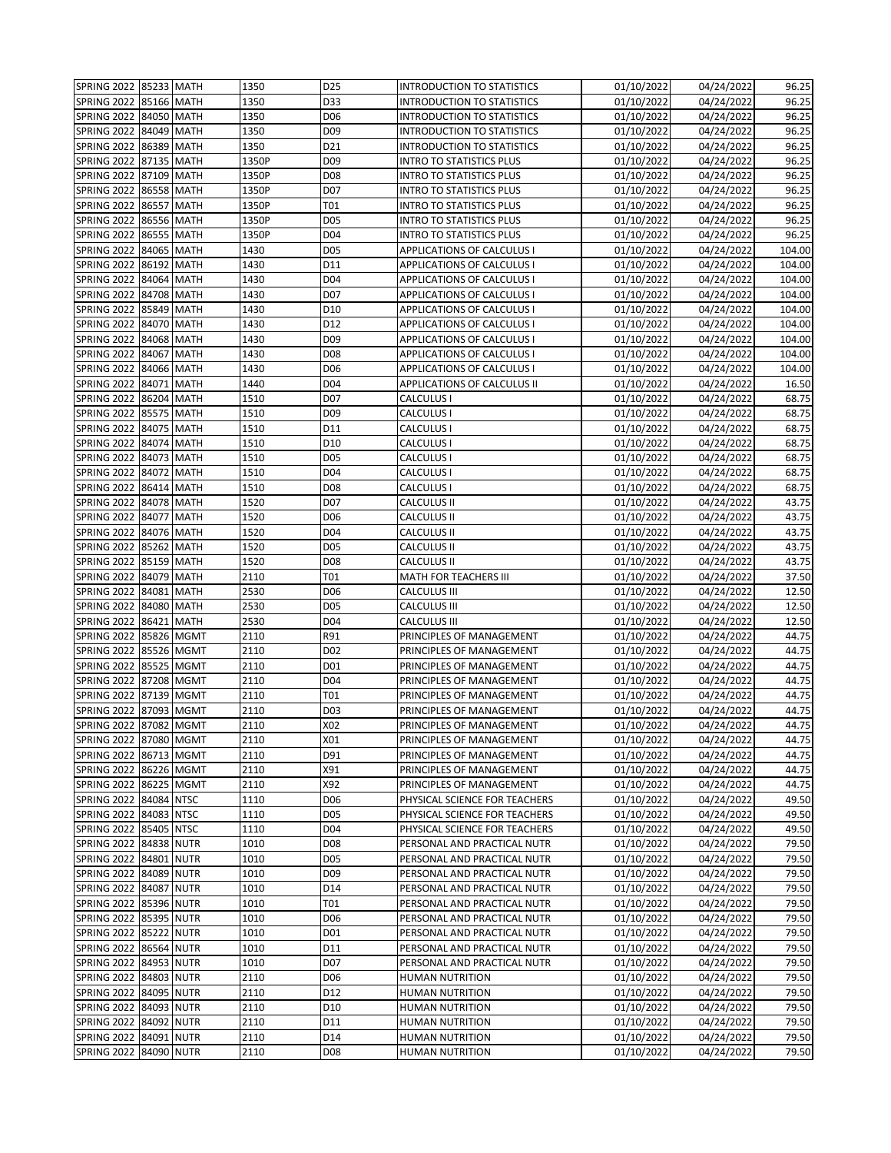| SPRING 2022 85233 MATH |            |             | 1350  | D25             | <b>INTRODUCTION TO STATISTICS</b> | 01/10/2022              | 04/24/2022 | 96.25  |
|------------------------|------------|-------------|-------|-----------------|-----------------------------------|-------------------------|------------|--------|
| SPRING 2022            | 85166 MATH |             | 1350  | D33             | <b>INTRODUCTION TO STATISTICS</b> | 01/10/2022              | 04/24/2022 | 96.25  |
| SPRING 2022            | 84050 MATH |             | 1350  | D06             | <b>INTRODUCTION TO STATISTICS</b> | 01/10/2022              | 04/24/2022 | 96.25  |
| <b>SPRING 2022</b>     | 84049 MATH |             | 1350  | D <sub>09</sub> | <b>INTRODUCTION TO STATISTICS</b> | 01/10/2022              | 04/24/2022 | 96.25  |
| SPRING 2022            | 86389      | <b>MATH</b> | 1350  | D21             | <b>INTRODUCTION TO STATISTICS</b> | 01/10/2022              | 04/24/2022 | 96.25  |
| SPRING 2022            | 87135 MATH |             | 1350P | D <sub>09</sub> | <b>INTRO TO STATISTICS PLUS</b>   | 01/10/2022              | 04/24/2022 | 96.25  |
| <b>SPRING 2022</b>     | 87109 MATH |             | 1350P | D <sub>08</sub> | <b>INTRO TO STATISTICS PLUS</b>   | 01/10/2022              | 04/24/2022 | 96.25  |
|                        |            |             | 1350P | D07             |                                   |                         |            | 96.25  |
| <b>SPRING 2022</b>     | 86558 MATH |             |       | T01             | INTRO TO STATISTICS PLUS          | 01/10/2022              | 04/24/2022 | 96.25  |
| SPRING 2022            | 86557 MATH |             | 1350P |                 | <b>INTRO TO STATISTICS PLUS</b>   | 01/10/2022              | 04/24/2022 |        |
| SPRING 2022            | 86556 MATH |             | 1350P | D05             | <b>INTRO TO STATISTICS PLUS</b>   | 01/10/2022              | 04/24/2022 | 96.25  |
| SPRING 2022            | 86555 MATH |             | 1350P | D <sub>04</sub> | <b>INTRO TO STATISTICS PLUS</b>   | 01/10/2022              | 04/24/2022 | 96.25  |
| <b>SPRING 2022</b>     | 84065 MATH |             | 1430  | D05             | APPLICATIONS OF CALCULUS I        | 01/10/2022              | 04/24/2022 | 104.00 |
| SPRING 2022            |            | 86192 MATH  | 1430  | D11             | APPLICATIONS OF CALCULUS I        | $\overline{01/10/2022}$ | 04/24/2022 | 104.00 |
| <b>SPRING 2022</b>     | 84064      | <b>MATH</b> | 1430  | D <sub>04</sub> | APPLICATIONS OF CALCULUS I        | 01/10/2022              | 04/24/2022 | 104.00 |
| SPRING 2022            | 84708 MATH |             | 1430  | D07             | APPLICATIONS OF CALCULUS I        | 01/10/2022              | 04/24/2022 | 104.00 |
| SPRING 2022            | 85849 MATH |             | 1430  | D10             | <b>APPLICATIONS OF CALCULUS I</b> | 01/10/2022              | 04/24/2022 | 104.00 |
| <b>SPRING 2022</b>     |            | 84070 MATH  | 1430  | D12             | APPLICATIONS OF CALCULUS I        | 01/10/2022              | 04/24/2022 | 104.00 |
| <b>SPRING 2022</b>     | 84068 MATH |             | 1430  | D <sub>09</sub> | APPLICATIONS OF CALCULUS I        | 01/10/2022              | 04/24/2022 | 104.00 |
| SPRING 2022            | 84067 MATH |             | 1430  | D <sub>08</sub> | APPLICATIONS OF CALCULUS I        | 01/10/2022              | 04/24/2022 | 104.00 |
| SPRING 2022            | 84066 MATH |             | 1430  | D <sub>06</sub> | <b>APPLICATIONS OF CALCULUS I</b> | 01/10/2022              | 04/24/2022 | 104.00 |
| SPRING 2022            | 84071      | <b>MATH</b> | 1440  | D <sub>04</sub> | APPLICATIONS OF CALCULUS II       | 01/10/2022              | 04/24/2022 | 16.50  |
| <b>SPRING 2022</b>     | 86204 MATH |             | 1510  | D07             | CALCULUS I                        | 01/10/2022              | 04/24/2022 | 68.75  |
| SPRING 2022            | 85575 MATH |             | 1510  | D <sub>09</sub> | CALCULUS I                        | 01/10/2022              | 04/24/2022 | 68.75  |
| SPRING 2022            | 84075 MATH |             | 1510  | D11             | CALCULUS I                        | 01/10/2022              | 04/24/2022 | 68.75  |
| SPRING 2022            | 84074 MATH |             | 1510  | D10             | CALCULUS I                        | 01/10/2022              | 04/24/2022 | 68.75  |
| SPRING 2022            | 84073 MATH |             | 1510  | D05             | CALCULUS I                        | 01/10/2022              | 04/24/2022 | 68.75  |
| <b>SPRING 2022</b>     | 84072 MATH |             | 1510  | D <sub>04</sub> | CALCULUS I                        | 01/10/2022              | 04/24/2022 | 68.75  |
| <b>SPRING 2022</b>     | 86414 MATH |             | 1510  | D <sub>08</sub> | CALCULUS I                        | 01/10/2022              | 04/24/2022 | 68.75  |
| SPRING 2022            | 84078 MATH |             | 1520  | D07             | CALCULUS II                       | 01/10/2022              | 04/24/2022 | 43.75  |
| SPRING 2022            | 84077      | <b>MATH</b> | 1520  | D <sub>06</sub> | CALCULUS II                       | 01/10/2022              | 04/24/2022 | 43.75  |
| <b>SPRING 2022</b>     | 84076 MATH |             | 1520  | D <sub>04</sub> | CALCULUS II                       | 01/10/2022              | 04/24/2022 | 43.75  |
| <b>SPRING 2022</b>     | 85262 MATH |             | 1520  | D05             | CALCULUS II                       | 01/10/2022              | 04/24/2022 | 43.75  |
| SPRING 2022            | 85159      | <b>MATH</b> | 1520  | D <sub>08</sub> | CALCULUS II                       | 01/10/2022              | 04/24/2022 | 43.75  |
| <b>SPRING 2022</b>     | 84079 MATH |             | 2110  | T01             | <b>MATH FOR TEACHERS III</b>      | 01/10/2022              | 04/24/2022 | 37.50  |
| SPRING 2022            | 84081 MATH |             | 2530  | D <sub>06</sub> | CALCULUS III                      | 01/10/2022              | 04/24/2022 | 12.50  |
| SPRING 2022            | 84080      | <b>MATH</b> | 2530  | D05             | CALCULUS III                      | 01/10/2022              | 04/24/2022 | 12.50  |
| <b>SPRING 2022</b>     | 86421 MATH |             | 2530  | D <sub>04</sub> | CALCULUS III                      | 01/10/2022              | 04/24/2022 | 12.50  |
| SPRING 2022            |            | 85826 MGMT  | 2110  | R91             | PRINCIPLES OF MANAGEMENT          | 01/10/2022              | 04/24/2022 | 44.75  |
| <b>SPRING 2022</b>     |            | 85526 MGMT  | 2110  | D <sub>02</sub> | PRINCIPLES OF MANAGEMENT          | 01/10/2022              | 04/24/2022 | 44.75  |
| <b>SPRING 2022</b>     |            | 85525 MGMT  | 2110  | D01             | PRINCIPLES OF MANAGEMENT          | 01/10/2022              | 04/24/2022 | 44.75  |
| <b>SPRING 2022</b>     |            | 87208 MGMT  | 2110  | D <sub>04</sub> | PRINCIPLES OF MANAGEMENT          | 01/10/2022              | 04/24/2022 | 44.75  |
| <b>SPRING 2022</b>     |            | 87139 MGMT  | 2110  | T01             | PRINCIPLES OF MANAGEMENT          | 01/10/2022              | 04/24/2022 | 44.75  |
| <b>SPRING 2022</b>     |            | 87093 MGMT  | 2110  | D03             | PRINCIPLES OF MANAGEMENT          | 01/10/2022              | 04/24/2022 | 44.75  |
| SPRING 2022 87082 MGMT |            |             | 2110  | X02             | PRINCIPLES OF MANAGEMENT          | 01/10/2022              | 04/24/2022 | 44.75  |
| SPRING 2022 87080 MGMT |            |             | 2110  | X01             | PRINCIPLES OF MANAGEMENT          | 01/10/2022              | 04/24/2022 | 44.75  |
| SPRING 2022 86713 MGMT |            |             | 2110  | D91             | PRINCIPLES OF MANAGEMENT          | 01/10/2022              | 04/24/2022 | 44.75  |
| SPRING 2022 86226 MGMT |            |             | 2110  | X91             | PRINCIPLES OF MANAGEMENT          | 01/10/2022              | 04/24/2022 | 44.75  |
| <b>SPRING 2022</b>     |            | 86225 MGMT  | 2110  | X92             | PRINCIPLES OF MANAGEMENT          | 01/10/2022              | 04/24/2022 | 44.75  |
| <b>SPRING 2022</b>     | 84084 NTSC |             | 1110  | D06             | PHYSICAL SCIENCE FOR TEACHERS     | 01/10/2022              | 04/24/2022 | 49.50  |
| <b>SPRING 2022</b>     | 84083 NTSC |             | 1110  | D05             | PHYSICAL SCIENCE FOR TEACHERS     | 01/10/2022              | 04/24/2022 | 49.50  |
| <b>SPRING 2022</b>     | 85405 NTSC |             | 1110  | D04             | PHYSICAL SCIENCE FOR TEACHERS     | 01/10/2022              | 04/24/2022 | 49.50  |
| <b>SPRING 2022</b>     | 84838 NUTR |             | 1010  | D08             | PERSONAL AND PRACTICAL NUTR       | 01/10/2022              | 04/24/2022 | 79.50  |
| SPRING 2022            | 84801 NUTR |             | 1010  | D05             | PERSONAL AND PRACTICAL NUTR       | 01/10/2022              | 04/24/2022 | 79.50  |
| <b>SPRING 2022</b>     | 84089 NUTR |             | 1010  | D09             | PERSONAL AND PRACTICAL NUTR       | 01/10/2022              | 04/24/2022 | 79.50  |
| <b>SPRING 2022</b>     | 84087 NUTR |             | 1010  | D14             | PERSONAL AND PRACTICAL NUTR       | 01/10/2022              | 04/24/2022 | 79.50  |
| <b>SPRING 2022</b>     | 85396 NUTR |             | 1010  | T01             | PERSONAL AND PRACTICAL NUTR       | 01/10/2022              | 04/24/2022 | 79.50  |
| <b>SPRING 2022</b>     | 85395 NUTR |             | 1010  | D06             | PERSONAL AND PRACTICAL NUTR       | 01/10/2022              | 04/24/2022 | 79.50  |
| SPRING 2022            | 85222 NUTR |             | 1010  | D01             | PERSONAL AND PRACTICAL NUTR       | 01/10/2022              | 04/24/2022 | 79.50  |
| <b>SPRING 2022</b>     | 86564 NUTR |             | 1010  | D11             | PERSONAL AND PRACTICAL NUTR       | 01/10/2022              | 04/24/2022 | 79.50  |
| <b>SPRING 2022</b>     | 84953 NUTR |             | 1010  | D07             | PERSONAL AND PRACTICAL NUTR       | 01/10/2022              | 04/24/2022 | 79.50  |
| <b>SPRING 2022</b>     | 84803 NUTR |             | 2110  | D06             | HUMAN NUTRITION                   | 01/10/2022              | 04/24/2022 | 79.50  |
| <b>SPRING 2022</b>     | 84095 NUTR |             | 2110  | D12             | <b>HUMAN NUTRITION</b>            | 01/10/2022              | 04/24/2022 | 79.50  |
| SPRING 2022            | 84093 NUTR |             | 2110  | D10             | HUMAN NUTRITION                   | 01/10/2022              | 04/24/2022 | 79.50  |
| <b>SPRING 2022</b>     | 84092 NUTR |             | 2110  | D11             | HUMAN NUTRITION                   | 01/10/2022              | 04/24/2022 | 79.50  |
| SPRING 2022            |            | 84091 NUTR  | 2110  | D14             | <b>HUMAN NUTRITION</b>            | 01/10/2022              | 04/24/2022 | 79.50  |
|                        |            |             |       |                 |                                   |                         |            |        |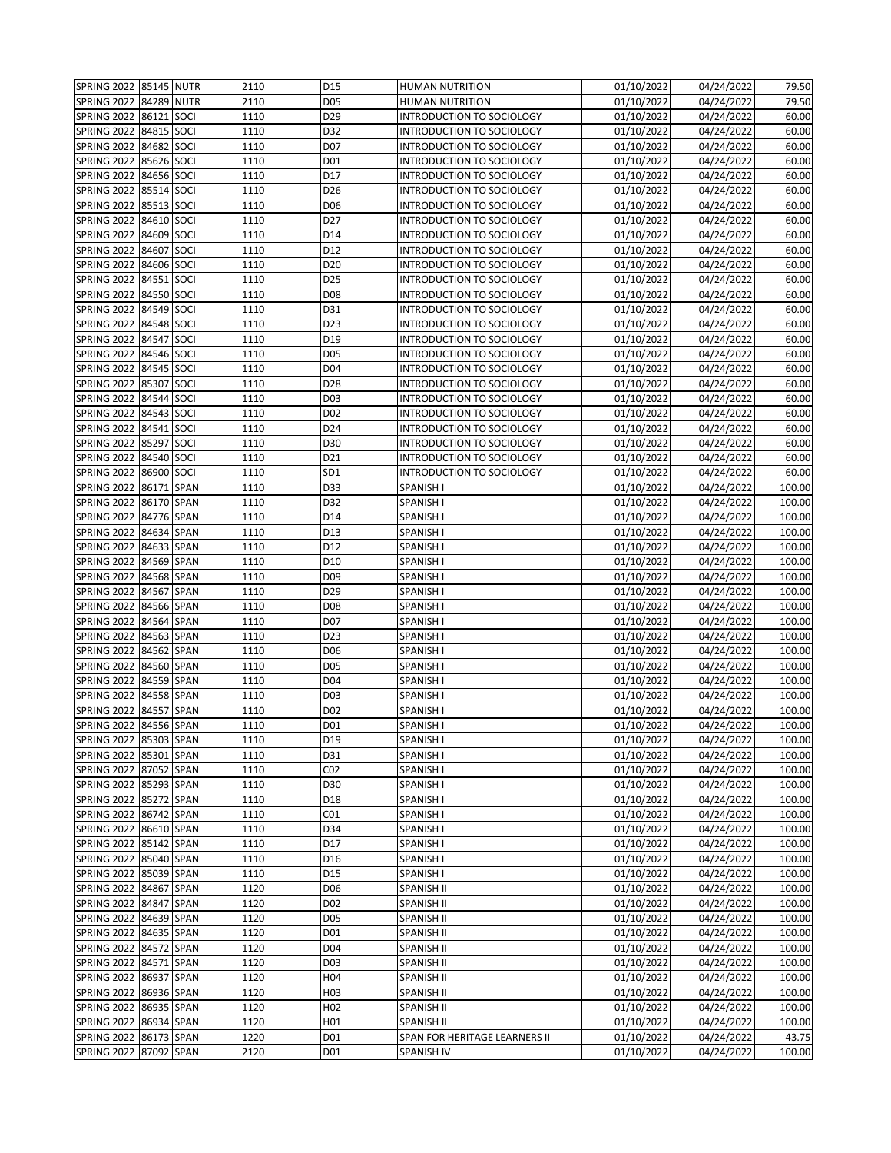| SPRING 2022 85145 NUTR |            |      | 2110 | D15             | <b>HUMAN NUTRITION</b>           | 01/10/2022 | 04/24/2022 | 79.50  |
|------------------------|------------|------|------|-----------------|----------------------------------|------------|------------|--------|
| <b>SPRING 2022</b>     | 84289 NUTR |      | 2110 | D05             | <b>HUMAN NUTRITION</b>           | 01/10/2022 | 04/24/2022 | 79.50  |
| <b>SPRING 2022</b>     | 86121 SOCI |      | 1110 | D29             | INTRODUCTION TO SOCIOLOGY        | 01/10/2022 | 04/24/2022 | 60.00  |
| <b>SPRING 2022</b>     | 84815 SOCI |      | 1110 | D32             | INTRODUCTION TO SOCIOLOGY        | 01/10/2022 | 04/24/2022 | 60.00  |
| SPRING 2022            | 84682 SOCI |      | 1110 | D <sub>07</sub> | INTRODUCTION TO SOCIOLOGY        | 01/10/2022 | 04/24/2022 | 60.00  |
| SPRING 2022            | 85626 SOCI |      | 1110 | D01             | INTRODUCTION TO SOCIOLOGY        | 01/10/2022 | 04/24/2022 | 60.00  |
| <b>SPRING 2022</b>     | 84656 SOCI |      | 1110 | D17             | INTRODUCTION TO SOCIOLOGY        | 01/10/2022 | 04/24/2022 | 60.00  |
| SPRING 2022            | 85514 SOCI |      | 1110 | D <sub>26</sub> | INTRODUCTION TO SOCIOLOGY        | 01/10/2022 | 04/24/2022 | 60.00  |
| SPRING 2022            | 85513 SOCI |      | 1110 | D06             | INTRODUCTION TO SOCIOLOGY        | 01/10/2022 | 04/24/2022 | 60.00  |
| <b>SPRING 2022</b>     | 84610      | SOCI | 1110 | D27             | <b>INTRODUCTION TO SOCIOLOGY</b> | 01/10/2022 | 04/24/2022 | 60.00  |
| SPRING 2022            | 84609 SOCI |      | 1110 | D14             | <b>INTRODUCTION TO SOCIOLOGY</b> | 01/10/2022 | 04/24/2022 | 60.00  |
| SPRING 2022            | 84607 SOCI |      | 1110 | D12             | INTRODUCTION TO SOCIOLOGY        | 01/10/2022 | 04/24/2022 | 60.00  |
| SPRING 2022            | 84606 SOCI |      | 1110 | D <sub>20</sub> | INTRODUCTION TO SOCIOLOGY        | 01/10/2022 | 04/24/2022 | 60.00  |
| <b>SPRING 2022</b>     | 84551 SOCI |      | 1110 | D25             | INTRODUCTION TO SOCIOLOGY        | 01/10/2022 | 04/24/2022 | 60.00  |
| <b>SPRING 2022</b>     | 84550 SOCI |      | 1110 | D <sub>08</sub> | INTRODUCTION TO SOCIOLOGY        | 01/10/2022 | 04/24/2022 | 60.00  |
| SPRING 2022            | 84549 SOCI |      | 1110 | D31             | INTRODUCTION TO SOCIOLOGY        | 01/10/2022 | 04/24/2022 | 60.00  |
| <b>SPRING 2022</b>     | 84548 SOCI |      | 1110 | D23             | INTRODUCTION TO SOCIOLOGY        | 01/10/2022 | 04/24/2022 | 60.00  |
| SPRING 2022            | 84547 SOCI |      | 1110 | D19             | INTRODUCTION TO SOCIOLOGY        | 01/10/2022 | 04/24/2022 | 60.00  |
| <b>SPRING 2022</b>     | 84546 SOCI |      | 1110 | D05             | INTRODUCTION TO SOCIOLOGY        | 01/10/2022 | 04/24/2022 | 60.00  |
| <b>SPRING 2022</b>     | 84545      | SOCI | 1110 | D <sub>04</sub> | INTRODUCTION TO SOCIOLOGY        | 01/10/2022 | 04/24/2022 | 60.00  |
| <b>SPRING 2022</b>     | 85307      | SOCI | 1110 | D28             | <b>INTRODUCTION TO SOCIOLOGY</b> | 01/10/2022 | 04/24/2022 | 60.00  |
| SPRING 2022            | 84544 SOCI |      | 1110 | D03             | INTRODUCTION TO SOCIOLOGY        | 01/10/2022 | 04/24/2022 | 60.00  |
| SPRING 2022            | 84543 SOCI |      | 1110 | D <sub>02</sub> | INTRODUCTION TO SOCIOLOGY        | 01/10/2022 | 04/24/2022 | 60.00  |
| <b>SPRING 2022</b>     | 84541 SOCI |      | 1110 | D24             | INTRODUCTION TO SOCIOLOGY        | 01/10/2022 | 04/24/2022 | 60.00  |
| SPRING 2022            | 85297 SOCI |      | 1110 | D30             | INTRODUCTION TO SOCIOLOGY        | 01/10/2022 | 04/24/2022 | 60.00  |
| SPRING 2022            | 84540 SOCI |      | 1110 | D21             | <b>INTRODUCTION TO SOCIOLOGY</b> | 01/10/2022 | 04/24/2022 | 60.00  |
| <b>SPRING 2022</b>     | 86900 SOCI |      | 1110 | SD <sub>1</sub> | INTRODUCTION TO SOCIOLOGY        | 01/10/2022 | 04/24/2022 | 60.00  |
| <b>SPRING 2022</b>     | 86171 SPAN |      | 1110 | D33             | SPANISH I                        | 01/10/2022 | 04/24/2022 | 100.00 |
| SPRING 2022            | 86170 SPAN |      | 1110 | D32             | SPANISH I                        | 01/10/2022 | 04/24/2022 | 100.00 |
| <b>SPRING 2022</b>     | 84776 SPAN |      | 1110 | D14             | SPANISH I                        | 01/10/2022 | 04/24/2022 | 100.00 |
| SPRING 2022            | 84634 SPAN |      | 1110 | D13             | SPANISH I                        | 01/10/2022 | 04/24/2022 | 100.00 |
| <b>SPRING 2022</b>     | 84633 SPAN |      | 1110 | D12             | SPANISH I                        | 01/10/2022 | 04/24/2022 | 100.00 |
| SPRING 2022            | 84569 SPAN |      | 1110 | D10             | SPANISH I                        | 01/10/2022 | 04/24/2022 | 100.00 |
| <b>SPRING 2022</b>     | 84568 SPAN |      | 1110 | D <sub>09</sub> | SPANISH I                        | 01/10/2022 | 04/24/2022 | 100.00 |
| SPRING 2022            | 84567 SPAN |      | 1110 | D29             | SPANISH I                        | 01/10/2022 | 04/24/2022 | 100.00 |
| SPRING 2022            | 84566 SPAN |      | 1110 | D08             | SPANISH I                        | 01/10/2022 | 04/24/2022 | 100.00 |
| <b>SPRING 2022</b>     | 84564 SPAN |      | 1110 | D07             | SPANISH I                        | 01/10/2022 | 04/24/2022 | 100.00 |
| <b>SPRING 2022</b>     | 84563 SPAN |      | 1110 | D23             | SPANISH I                        | 01/10/2022 | 04/24/2022 | 100.00 |
| <b>SPRING 2022</b>     | 84562 SPAN |      | 1110 | D06             | SPANISH I                        | 01/10/2022 | 04/24/2022 | 100.00 |
| <b>SPRING 2022</b>     | 84560 SPAN |      | 1110 | D05             | SPANISH I                        | 01/10/2022 | 04/24/2022 | 100.00 |
| SPRING 2022            | 84559 SPAN |      | 1110 | D <sub>04</sub> | SPANISH I                        | 01/10/2022 | 04/24/2022 | 100.00 |
| <b>SPRING 2022</b>     | 84558 SPAN |      | 1110 | D03             | SPANISH I                        | 01/10/2022 | 04/24/2022 | 100.00 |
| <b>SPRING 2022</b>     | 84557 SPAN |      | 1110 | D02             | SPANISH I                        | 01/10/2022 | 04/24/2022 | 100.00 |
| SPRING 2022 84556 SPAN |            |      | 1110 | D01             | SPANISH I                        | 01/10/2022 | 04/24/2022 | 100.00 |
| SPRING 2022 85303 SPAN |            |      | 1110 | D19             | SPANISH I                        | 01/10/2022 | 04/24/2022 | 100.00 |
| SPRING 2022 85301 SPAN |            |      | 1110 | D31             | SPANISH I                        | 01/10/2022 | 04/24/2022 | 100.00 |
| SPRING 2022 87052 SPAN |            |      | 1110 | C02             | SPANISH I                        | 01/10/2022 | 04/24/2022 | 100.00 |
| SPRING 2022 85293 SPAN |            |      | 1110 | D30             | SPANISH I                        | 01/10/2022 | 04/24/2022 | 100.00 |
| SPRING 2022 85272 SPAN |            |      | 1110 | D18             | SPANISH I                        | 01/10/2022 | 04/24/2022 | 100.00 |
| <b>SPRING 2022</b>     | 86742 SPAN |      | 1110 | CO <sub>1</sub> | SPANISH I                        | 01/10/2022 | 04/24/2022 | 100.00 |
| <b>SPRING 2022</b>     | 86610 SPAN |      | 1110 | D34             | SPANISH I                        | 01/10/2022 | 04/24/2022 | 100.00 |
| <b>SPRING 2022</b>     | 85142 SPAN |      | 1110 | D17             | SPANISH I                        | 01/10/2022 | 04/24/2022 | 100.00 |
| <b>SPRING 2022</b>     | 85040 SPAN |      | 1110 | D16             | SPANISH I                        | 01/10/2022 | 04/24/2022 | 100.00 |
| <b>SPRING 2022</b>     | 85039 SPAN |      | 1110 | D15             | SPANISH I                        | 01/10/2022 | 04/24/2022 | 100.00 |
| <b>SPRING 2022</b>     | 84867 SPAN |      | 1120 | D <sub>06</sub> | SPANISH II                       | 01/10/2022 | 04/24/2022 | 100.00 |
| <b>SPRING 2022</b>     | 84847 SPAN |      | 1120 | D02             | SPANISH II                       | 01/10/2022 | 04/24/2022 | 100.00 |
| <b>SPRING 2022</b>     | 84639 SPAN |      | 1120 | D05             | SPANISH II                       | 01/10/2022 | 04/24/2022 | 100.00 |
| <b>SPRING 2022</b>     | 84635 SPAN |      | 1120 | D01             | SPANISH II                       | 01/10/2022 | 04/24/2022 | 100.00 |
| <b>SPRING 2022</b>     | 84572 SPAN |      | 1120 | D04             | SPANISH II                       | 01/10/2022 | 04/24/2022 | 100.00 |
| <b>SPRING 2022</b>     | 84571 SPAN |      | 1120 | D03             | SPANISH II                       | 01/10/2022 | 04/24/2022 | 100.00 |
| <b>SPRING 2022</b>     | 86937 SPAN |      | 1120 | H04             | SPANISH II                       | 01/10/2022 | 04/24/2022 | 100.00 |
| <b>SPRING 2022</b>     | 86936 SPAN |      | 1120 | H03             | SPANISH II                       | 01/10/2022 | 04/24/2022 | 100.00 |
| <b>SPRING 2022</b>     | 86935 SPAN |      | 1120 | H02             | SPANISH II                       | 01/10/2022 | 04/24/2022 | 100.00 |
| <b>SPRING 2022</b>     | 86934 SPAN |      | 1120 | H01             | SPANISH II                       | 01/10/2022 | 04/24/2022 | 100.00 |
| <b>SPRING 2022</b>     | 86173 SPAN |      | 1220 | D01             | SPAN FOR HERITAGE LEARNERS II    | 01/10/2022 | 04/24/2022 | 43.75  |
| <b>SPRING 2022</b>     | 87092 SPAN |      | 2120 | D01             | SPANISH IV                       | 01/10/2022 | 04/24/2022 | 100.00 |
|                        |            |      |      |                 |                                  |            |            |        |